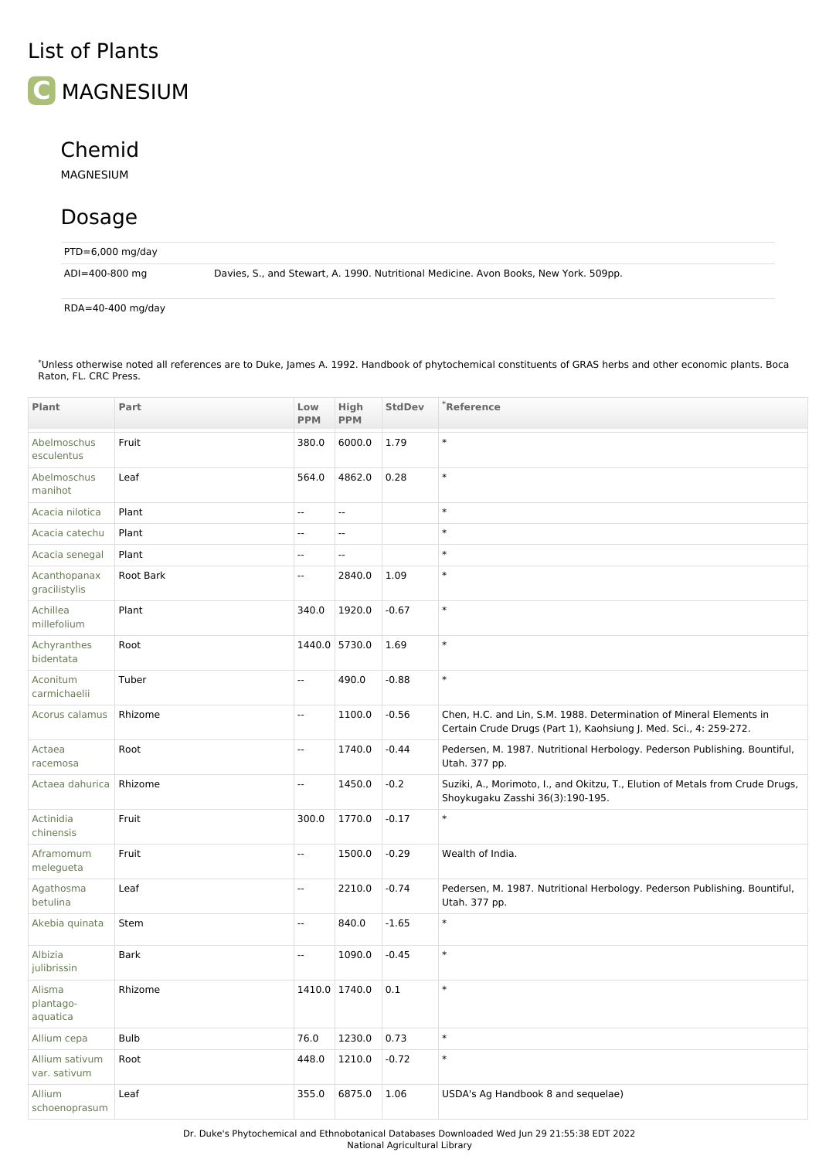## List of Plants



## Chemid

MAGNESIUM

## Dosage

| $PTD=6,000$ mg/day |                                                                                      |
|--------------------|--------------------------------------------------------------------------------------|
| ADI=400-800 mg     | Davies, S., and Stewart, A. 1990. Nutritional Medicine. Avon Books, New York. 509pp. |

RDA=40-400 mg/day

Unless otherwise noted all references are to Duke, James A. 1992. Handbook of phytochemical constituents of GRAS herbs and other economic plants. Boca Raton, FL. CRC Press. \*

| Plant                           | Part        | Low<br><b>PPM</b>        | High<br><b>PPM</b> | <b>StdDev</b> | *Reference                                                                                                                               |
|---------------------------------|-------------|--------------------------|--------------------|---------------|------------------------------------------------------------------------------------------------------------------------------------------|
| Abelmoschus<br>esculentus       | Fruit       | 380.0                    | 6000.0             | 1.79          | $\ast$                                                                                                                                   |
| Abelmoschus<br>manihot          | Leaf        | 564.0                    | 4862.0             | 0.28          | $\ast$                                                                                                                                   |
| Acacia nilotica                 | Plant       | $\overline{\phantom{a}}$ | Ξ.                 |               | $\ast$                                                                                                                                   |
| Acacia catechu                  | Plant       | ÷.                       | Ξ.                 |               | $\ast$                                                                                                                                   |
| Acacia senegal                  | Plant       | $\overline{\phantom{a}}$ | --                 |               | $\ast$                                                                                                                                   |
| Acanthopanax<br>gracilistylis   | Root Bark   | Ξ.                       | 2840.0             | 1.09          | $\ast$                                                                                                                                   |
| Achillea<br>millefolium         | Plant       | 340.0                    | 1920.0             | $-0.67$       | $\ast$                                                                                                                                   |
| Achyranthes<br>bidentata        | Root        |                          | 1440.0 5730.0      | 1.69          | $\ast$                                                                                                                                   |
| Aconitum<br>carmichaelii        | Tuber       | ÷.                       | 490.0              | $-0.88$       | $\ast$                                                                                                                                   |
| Acorus calamus                  | Rhizome     | $\mathbf{u}$             | 1100.0             | $-0.56$       | Chen, H.C. and Lin, S.M. 1988. Determination of Mineral Elements in<br>Certain Crude Drugs (Part 1), Kaohsiung J. Med. Sci., 4: 259-272. |
| Actaea<br>racemosa              | Root        | Ξ.                       | 1740.0             | $-0.44$       | Pedersen, M. 1987. Nutritional Herbology. Pederson Publishing. Bountiful,<br>Utah. 377 pp.                                               |
| Actaea dahurica                 | Rhizome     | $\overline{\phantom{a}}$ | 1450.0             | $-0.2$        | Suziki, A., Morimoto, I., and Okitzu, T., Elution of Metals from Crude Drugs,<br>Shoykugaku Zasshi 36(3):190-195.                        |
| Actinidia<br>chinensis          | Fruit       | 300.0                    | 1770.0             | $-0.17$       | $\ast$                                                                                                                                   |
| Aframomum<br>melegueta          | Fruit       | $\mathbb{Z}^2$           | 1500.0             | $-0.29$       | Wealth of India.                                                                                                                         |
| Agathosma<br>betulina           | Leaf        | Ξ.                       | 2210.0             | $-0.74$       | Pedersen, M. 1987. Nutritional Herbology. Pederson Publishing. Bountiful,<br>Utah. 377 pp.                                               |
| Akebia quinata                  | Stem        | $\overline{\phantom{a}}$ | 840.0              | $-1.65$       | $\ast$                                                                                                                                   |
| Albizia<br>julibrissin          | <b>Bark</b> | u.                       | 1090.0             | $-0.45$       | $\ast$                                                                                                                                   |
| Alisma<br>plantago-<br>aquatica | Rhizome     |                          | 1410.0 1740.0      | 0.1           | $\ast$                                                                                                                                   |
| Allium cepa                     | <b>Bulb</b> | 76.0                     | 1230.0             | 0.73          | $\ast$                                                                                                                                   |
| Allium sativum<br>var. sativum  | Root        | 448.0                    | 1210.0             | $-0.72$       | $\ast$                                                                                                                                   |
| Allium<br>schoenoprasum         | Leaf        | 355.0                    | 6875.0             | 1.06          | USDA's Ag Handbook 8 and sequelae)                                                                                                       |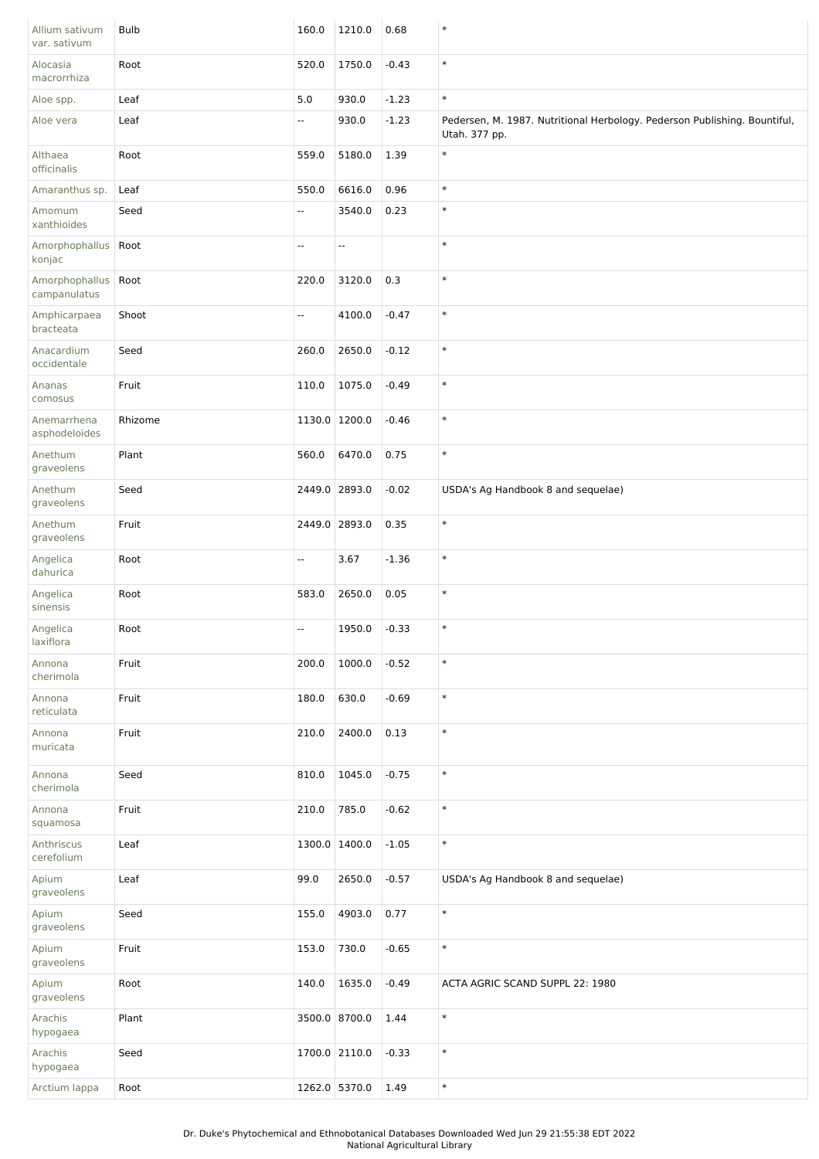| Allium sativum<br>var. sativum        | <b>Bulb</b> | 160.0                    | 1210.0        | 0.68    | $\ast$                                                                                     |
|---------------------------------------|-------------|--------------------------|---------------|---------|--------------------------------------------------------------------------------------------|
| Alocasia<br>macrorrhiza               | Root        | 520.0                    | 1750.0        | $-0.43$ | $\ast$                                                                                     |
| Aloe spp.                             | Leaf        | 5.0                      | 930.0         | $-1.23$ | $\ast$                                                                                     |
| Aloe vera                             | Leaf        | Ξ.                       | 930.0         | $-1.23$ | Pedersen, M. 1987. Nutritional Herbology. Pederson Publishing. Bountiful,<br>Utah. 377 pp. |
| Althaea<br>officinalis                | Root        | 559.0                    | 5180.0        | 1.39    | $\ast$                                                                                     |
| Amaranthus sp.                        | Leaf        | 550.0                    | 6616.0        | 0.96    | $\ast$                                                                                     |
| Amomum<br>xanthioides                 | Seed        | ۰.                       | 3540.0        | 0.23    | $\ast$                                                                                     |
| Amorphophallus<br>konjac              | Root        | н,                       | --            |         | $\ast$                                                                                     |
| Amorphophallus   Root<br>campanulatus |             | 220.0                    | 3120.0        | 0.3     | $\ast$                                                                                     |
| Amphicarpaea<br>bracteata             | Shoot       | Ξ.                       | 4100.0        | $-0.47$ | $\ast$                                                                                     |
| Anacardium<br>occidentale             | Seed        | 260.0                    | 2650.0        | $-0.12$ | $\ast$                                                                                     |
| Ananas<br>comosus                     | Fruit       | 110.0                    | 1075.0        | $-0.49$ | $\ast$                                                                                     |
| Anemarrhena<br>asphodeloides          | Rhizome     | 1130.0 1200.0            |               | $-0.46$ | $\ast$                                                                                     |
| Anethum<br>graveolens                 | Plant       | 560.0                    | 6470.0        | 0.75    | $\ast$                                                                                     |
| Anethum<br>graveolens                 | Seed        |                          | 2449.0 2893.0 | $-0.02$ | USDA's Ag Handbook 8 and sequelae)                                                         |
| Anethum<br>graveolens                 | Fruit       |                          | 2449.0 2893.0 | 0.35    | $\ast$                                                                                     |
| Angelica<br>dahurica                  | Root        | Ξ.                       | 3.67          | $-1.36$ | $\ast$                                                                                     |
| Angelica<br>sinensis                  | Root        | 583.0                    | 2650.0        | 0.05    | $\ast$                                                                                     |
| Angelica<br>laxiflora                 | Root        | $\overline{\phantom{a}}$ | 1950.0        | $-0.33$ | $\ast$                                                                                     |
| Annona<br>cherimola                   | Fruit       | 200.0                    | 1000.0        | $-0.52$ | $\ast$                                                                                     |
| Annona<br>reticulata                  | Fruit       | 180.0                    | 630.0         | $-0.69$ | $\ast$                                                                                     |
| Annona<br>muricata                    | Fruit       | 210.0                    | 2400.0        | 0.13    | $\ast$                                                                                     |
| Annona<br>cherimola                   | Seed        | 810.0                    | 1045.0        | $-0.75$ | $\ast$                                                                                     |
| Annona<br>squamosa                    | Fruit       | 210.0                    | 785.0         | $-0.62$ | $\ast$                                                                                     |
| Anthriscus<br>cerefolium              | Leaf        |                          | 1300.0 1400.0 | $-1.05$ | $\ast$                                                                                     |
| Apium<br>graveolens                   | Leaf        | 99.0                     | 2650.0        | $-0.57$ | USDA's Ag Handbook 8 and sequelae)                                                         |
| Apium<br>graveolens                   | Seed        | 155.0                    | 4903.0        | 0.77    | $\ast$                                                                                     |
| Apium<br>graveolens                   | Fruit       | 153.0                    | 730.0         | $-0.65$ | $\ast$                                                                                     |
| Apium<br>graveolens                   | Root        | 140.0                    | 1635.0        | $-0.49$ | ACTA AGRIC SCAND SUPPL 22: 1980                                                            |
| Arachis<br>hypogaea                   | Plant       |                          | 3500.0 8700.0 | 1.44    | $\ast$                                                                                     |
| Arachis<br>hypogaea                   | Seed        | 1700.0 2110.0            |               | $-0.33$ | $\ast$                                                                                     |
| Arctium lappa                         | Root        |                          | 1262.0 5370.0 | 1.49    | $\ast$                                                                                     |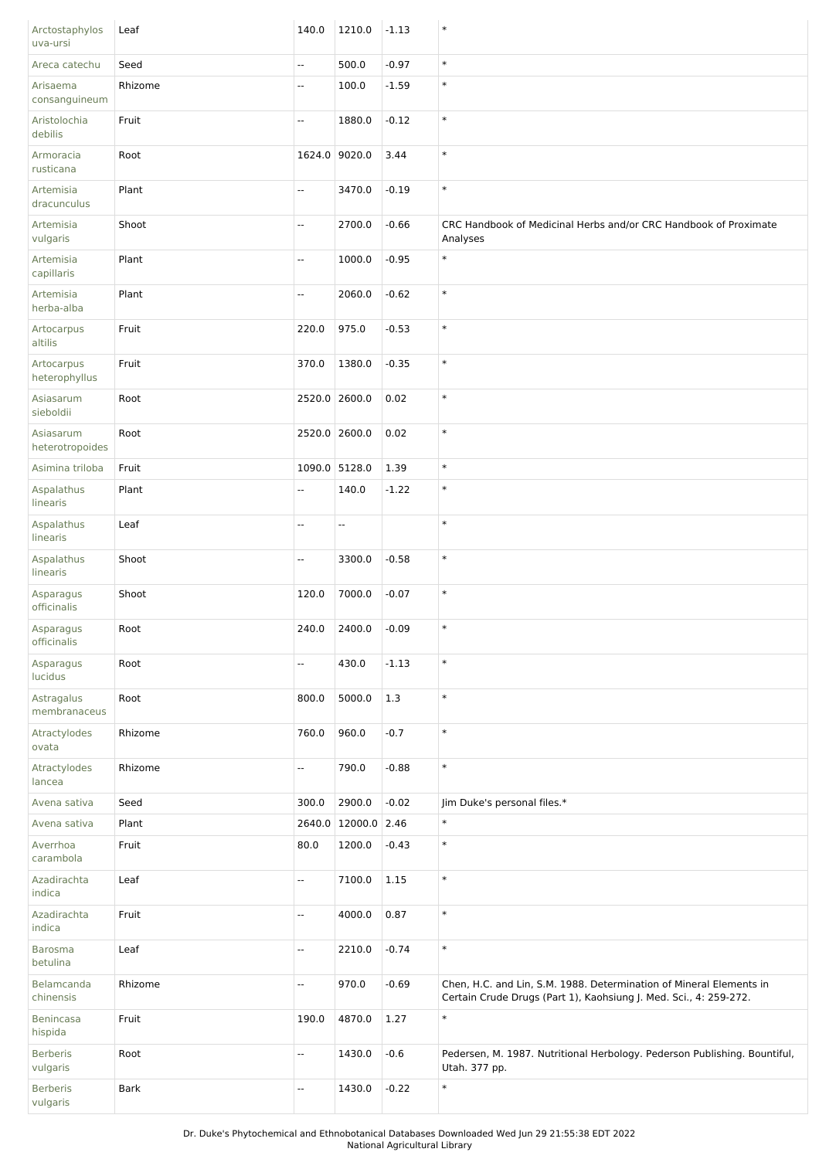| Arctostaphylos<br>uva-ursi   | Leaf        | 140.0                    | 1210.0        | $-1.13$ | $\ast$                                                                                                                                   |
|------------------------------|-------------|--------------------------|---------------|---------|------------------------------------------------------------------------------------------------------------------------------------------|
| Areca catechu                | Seed        | Щ.                       | 500.0         | $-0.97$ | $\ast$                                                                                                                                   |
| Arisaema<br>consanguineum    | Rhizome     | Ξ.                       | 100.0         | $-1.59$ | $\ast$                                                                                                                                   |
| Aristolochia<br>debilis      | Fruit       | $\overline{\phantom{a}}$ | 1880.0        | $-0.12$ | $\ast$                                                                                                                                   |
| Armoracia<br>rusticana       | Root        |                          | 1624.0 9020.0 | 3.44    | $\ast$                                                                                                                                   |
| Artemisia<br>dracunculus     | Plant       | $\overline{\phantom{a}}$ | 3470.0        | $-0.19$ | $\ast$                                                                                                                                   |
| Artemisia<br>vulgaris        | Shoot       | $\overline{\phantom{a}}$ | 2700.0        | $-0.66$ | CRC Handbook of Medicinal Herbs and/or CRC Handbook of Proximate<br>Analyses                                                             |
| Artemisia<br>capillaris      | Plant       | Ξ.                       | 1000.0        | $-0.95$ | $\ast$                                                                                                                                   |
| Artemisia<br>herba-alba      | Plant       | Щ.                       | 2060.0        | $-0.62$ | $\ast$                                                                                                                                   |
| Artocarpus<br>altilis        | Fruit       | 220.0                    | 975.0         | $-0.53$ | $\ast$                                                                                                                                   |
| Artocarpus<br>heterophyllus  | Fruit       | 370.0                    | 1380.0        | $-0.35$ | $\ast$                                                                                                                                   |
| Asiasarum<br>sieboldii       | Root        |                          | 2520.0 2600.0 | 0.02    | $\ast$                                                                                                                                   |
| Asiasarum<br>heterotropoides | Root        | 2520.0 2600.0            |               | 0.02    | $\ast$                                                                                                                                   |
| Asimina triloba              | Fruit       |                          | 1090.0 5128.0 | 1.39    | $\ast$                                                                                                                                   |
| Aspalathus<br>linearis       | Plant       | --                       | 140.0         | $-1.22$ | $\ast$                                                                                                                                   |
| Aspalathus<br>linearis       | Leaf        | --                       | Ξ.            |         | $\ast$                                                                                                                                   |
| Aspalathus<br>linearis       | Shoot       | $\overline{\phantom{a}}$ | 3300.0        | $-0.58$ | $\ast$                                                                                                                                   |
| Asparagus<br>officinalis     | Shoot       | 120.0                    | 7000.0        | $-0.07$ | $\ast$                                                                                                                                   |
| Asparagus<br>officinalis     | Root        | 240.0                    | 2400.0        | $-0.09$ | $\ast$                                                                                                                                   |
| Asparagus<br>lucidus         | Root        | Щ,                       | 430.0         | $-1.13$ | $\ast$                                                                                                                                   |
| Astragalus<br>membranaceus   | Root        | 800.0                    | 5000.0        | 1.3     | $\ast$                                                                                                                                   |
| Atractylodes<br>ovata        | Rhizome     | 760.0                    | 960.0         | $-0.7$  | $\ast$                                                                                                                                   |
| Atractylodes<br>lancea       | Rhizome     | Ξ.                       | 790.0         | $-0.88$ | $\ast$                                                                                                                                   |
| Avena sativa                 | Seed        | 300.0                    | 2900.0        | $-0.02$ | Jim Duke's personal files.*                                                                                                              |
| Avena sativa                 | Plant       | 2640.0                   | 12000.0 2.46  |         | $\ast$                                                                                                                                   |
| Averrhoa<br>carambola        | Fruit       | 80.0                     | 1200.0        | $-0.43$ | $\ast$                                                                                                                                   |
| Azadirachta<br>indica        | Leaf        | --                       | 7100.0        | 1.15    | $\ast$                                                                                                                                   |
| Azadirachta<br>indica        | Fruit       | --                       | 4000.0        | 0.87    | $\ast$                                                                                                                                   |
| Barosma<br>betulina          | Leaf        | -−                       | 2210.0        | $-0.74$ | $\ast$                                                                                                                                   |
| Belamcanda<br>chinensis      | Rhizome     | Ξ.                       | 970.0         | $-0.69$ | Chen, H.C. and Lin, S.M. 1988. Determination of Mineral Elements in<br>Certain Crude Drugs (Part 1), Kaohsiung J. Med. Sci., 4: 259-272. |
| Benincasa<br>hispida         | Fruit       | 190.0                    | 4870.0        | 1.27    | $\ast$                                                                                                                                   |
| <b>Berberis</b><br>vulgaris  | Root        | Ξ.                       | 1430.0        | $-0.6$  | Pedersen, M. 1987. Nutritional Herbology. Pederson Publishing. Bountiful,<br>Utah. 377 pp.                                               |
| <b>Berberis</b><br>vulgaris  | <b>Bark</b> | Ξ.                       | 1430.0        | $-0.22$ | $\ast$                                                                                                                                   |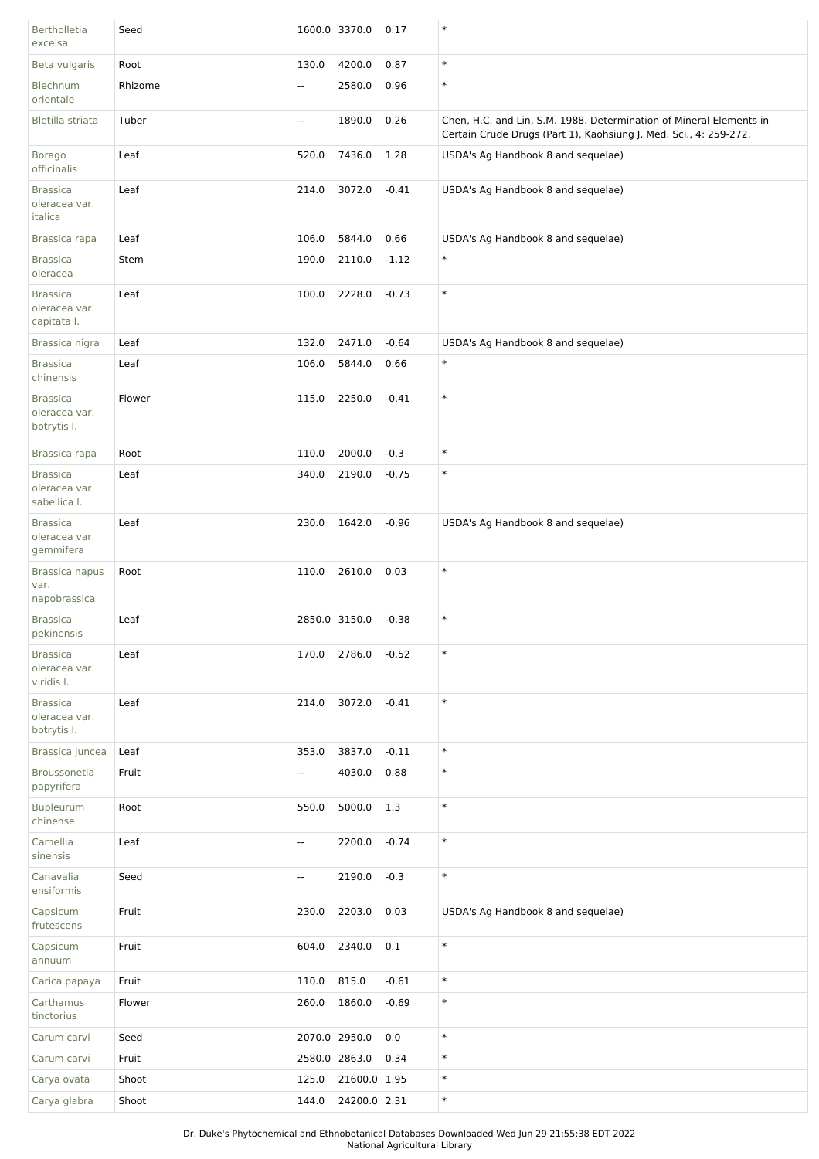| <b>Bertholletia</b><br>excelsa                   | Seed    |       | 1600.0 3370.0 | 0.17    | $\ast$                                                                                                                                   |
|--------------------------------------------------|---------|-------|---------------|---------|------------------------------------------------------------------------------------------------------------------------------------------|
| Beta vulgaris                                    | Root    | 130.0 | 4200.0        | 0.87    | $\ast$                                                                                                                                   |
| Blechnum<br>orientale                            | Rhizome | --    | 2580.0        | 0.96    | $\ast$                                                                                                                                   |
| Bletilla striata                                 | Tuber   | Ξ.    | 1890.0        | 0.26    | Chen, H.C. and Lin, S.M. 1988. Determination of Mineral Elements in<br>Certain Crude Drugs (Part 1), Kaohsiung J. Med. Sci., 4: 259-272. |
| <b>Borago</b><br>officinalis                     | Leaf    | 520.0 | 7436.0        | 1.28    | USDA's Ag Handbook 8 and sequelae)                                                                                                       |
| <b>Brassica</b><br>oleracea var.<br>italica      | Leaf    | 214.0 | 3072.0        | $-0.41$ | USDA's Ag Handbook 8 and sequelae)                                                                                                       |
| Brassica rapa                                    | Leaf    | 106.0 | 5844.0        | 0.66    | USDA's Ag Handbook 8 and sequelae)                                                                                                       |
| <b>Brassica</b><br>oleracea                      | Stem    | 190.0 | 2110.0        | $-1.12$ | $\ast$                                                                                                                                   |
| <b>Brassica</b><br>oleracea var.<br>capitata I.  | Leaf    | 100.0 | 2228.0        | $-0.73$ | $\ast$                                                                                                                                   |
| Brassica nigra                                   | Leaf    | 132.0 | 2471.0        | $-0.64$ | USDA's Ag Handbook 8 and sequelae)                                                                                                       |
| <b>Brassica</b><br>chinensis                     | Leaf    | 106.0 | 5844.0        | 0.66    | $\ast$                                                                                                                                   |
| <b>Brassica</b><br>oleracea var.<br>botrytis I.  | Flower  | 115.0 | 2250.0        | $-0.41$ | $\ast$                                                                                                                                   |
| Brassica rapa                                    | Root    | 110.0 | 2000.0        | $-0.3$  | $\ast$                                                                                                                                   |
| <b>Brassica</b><br>oleracea var.<br>sabellica I. | Leaf    | 340.0 | 2190.0        | $-0.75$ | $\ast$                                                                                                                                   |
| <b>Brassica</b><br>oleracea var.<br>gemmifera    | Leaf    | 230.0 | 1642.0        | $-0.96$ | USDA's Ag Handbook 8 and sequelae)                                                                                                       |
| Brassica napus<br>var.<br>napobrassica           | Root    | 110.0 | 2610.0        | 0.03    | $\ast$                                                                                                                                   |
| <b>Brassica</b><br>pekinensis                    | Leaf    |       | 2850.0 3150.0 | $-0.38$ | $\ast$                                                                                                                                   |
| <b>Brassica</b><br>oleracea var.<br>viridis I.   | Leaf    | 170.0 | 2786.0        | $-0.52$ | $\ast$                                                                                                                                   |
| <b>Brassica</b><br>oleracea var.<br>botrytis I.  | Leaf    | 214.0 | 3072.0        | $-0.41$ | $\ast$                                                                                                                                   |
| Brassica juncea                                  | Leaf    | 353.0 | 3837.0        | $-0.11$ | $\ast$                                                                                                                                   |
| Broussonetia<br>papyrifera                       | Fruit   | Ξ.    | 4030.0        | 0.88    | $\ast$                                                                                                                                   |
| <b>Bupleurum</b><br>chinense                     | Root    | 550.0 | 5000.0        | 1.3     | $\ast$                                                                                                                                   |
| Camellia<br>sinensis                             | Leaf    | Ξ.    | 2200.0        | $-0.74$ | $\ast$                                                                                                                                   |
| Canavalia<br>ensiformis                          | Seed    | Ξ.    | 2190.0        | $-0.3$  | $\ast$                                                                                                                                   |
| Capsicum<br>frutescens                           | Fruit   | 230.0 | 2203.0        | 0.03    | USDA's Ag Handbook 8 and sequelae)                                                                                                       |
| Capsicum<br>annuum                               | Fruit   | 604.0 | 2340.0        | $0.1\,$ | $\ast$                                                                                                                                   |
| Carica papaya                                    | Fruit   | 110.0 | 815.0         | $-0.61$ | $\ast$                                                                                                                                   |
| Carthamus<br>tinctorius                          | Flower  | 260.0 | 1860.0        | $-0.69$ | $\ast$                                                                                                                                   |
| Carum carvi                                      | Seed    |       | 2070.0 2950.0 | 0.0     | $\ast$                                                                                                                                   |
| Carum carvi                                      | Fruit   |       | 2580.0 2863.0 | 0.34    | $\ast$                                                                                                                                   |
| Carya ovata                                      | Shoot   | 125.0 | 21600.0 1.95  |         | $\ast$                                                                                                                                   |
| Carya glabra                                     | Shoot   | 144.0 | 24200.0 2.31  |         | $\ast$                                                                                                                                   |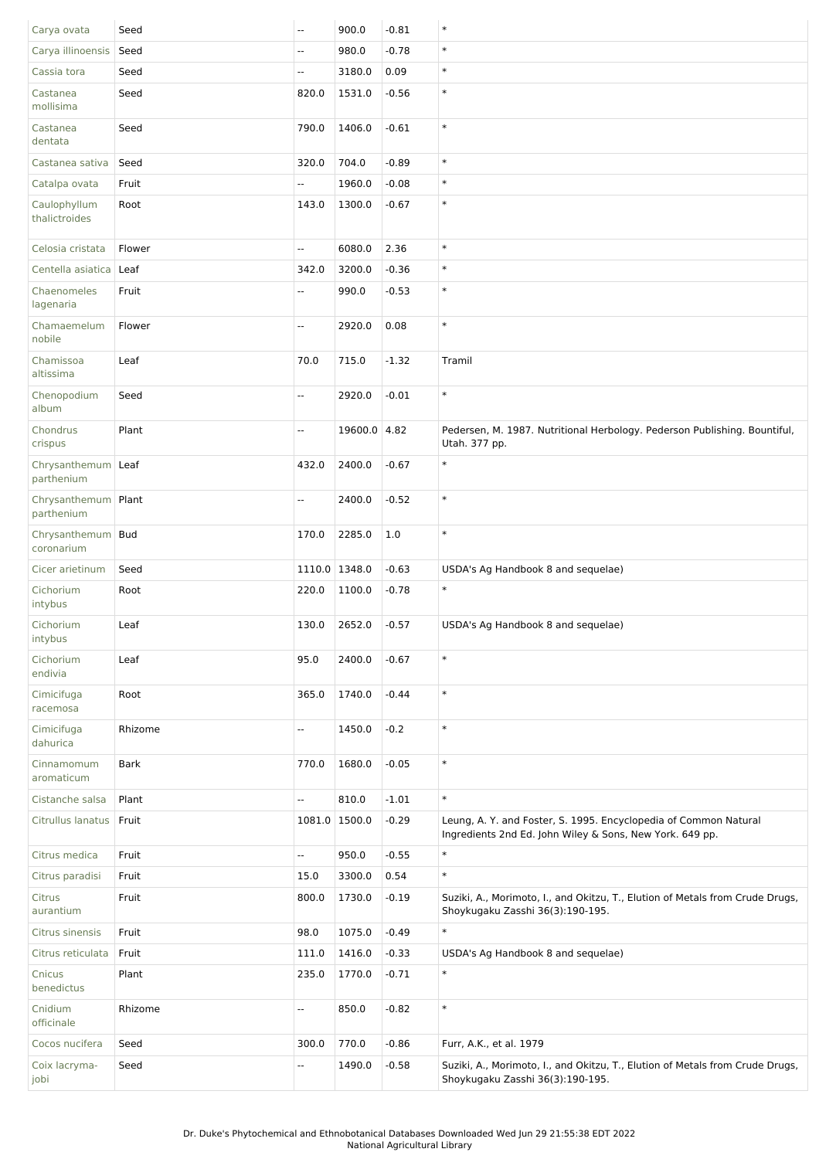| Carya ovata                         | Seed        | $\overline{\phantom{a}}$ | 900.0         | $-0.81$ | $\ast$                                                                                                                       |
|-------------------------------------|-------------|--------------------------|---------------|---------|------------------------------------------------------------------------------------------------------------------------------|
| Carya illinoensis                   | Seed        | $\overline{\phantom{a}}$ | 980.0         | $-0.78$ | $\ast$                                                                                                                       |
| Cassia tora                         | Seed        | $\overline{\phantom{a}}$ | 3180.0        | 0.09    | $\ast$                                                                                                                       |
| Castanea<br>mollisima               | Seed        | 820.0                    | 1531.0        | $-0.56$ | $\ast$                                                                                                                       |
| Castanea<br>dentata                 | Seed        | 790.0                    | 1406.0        | $-0.61$ | $\ast$                                                                                                                       |
| Castanea sativa                     | Seed        | 320.0                    | 704.0         | $-0.89$ | $\ast$                                                                                                                       |
| Catalpa ovata                       | Fruit       | Ξ.                       | 1960.0        | $-0.08$ | $\ast$                                                                                                                       |
| Caulophyllum<br>thalictroides       | Root        | 143.0                    | 1300.0        | $-0.67$ | $\ast$                                                                                                                       |
| Celosia cristata                    | Flower      | Щ,                       | 6080.0        | 2.36    | $\ast$                                                                                                                       |
| Centella asiatica                   | Leaf        | 342.0                    | 3200.0        | $-0.36$ | $\ast$                                                                                                                       |
| Chaenomeles<br>lagenaria            | Fruit       | Щ,                       | 990.0         | $-0.53$ | $\ast$                                                                                                                       |
| Chamaemelum<br>nobile               | Flower      | u.                       | 2920.0        | 0.08    | $\ast$                                                                                                                       |
| Chamissoa<br>altissima              | Leaf        | 70.0                     | 715.0         | $-1.32$ | Tramil                                                                                                                       |
| Chenopodium<br>album                | Seed        | Ξ.                       | 2920.0        | $-0.01$ | $\ast$                                                                                                                       |
| Chondrus<br>crispus                 | Plant       | Ξ.                       | 19600.0 4.82  |         | Pedersen, M. 1987. Nutritional Herbology. Pederson Publishing. Bountiful,<br>Utah. 377 pp.                                   |
| Chrysanthemum   Leaf<br>parthenium  |             | 432.0                    | 2400.0        | $-0.67$ | $\ast$                                                                                                                       |
| Chrysanthemum   Plant<br>parthenium |             | Ξ.                       | 2400.0        | $-0.52$ | $\ast$                                                                                                                       |
| Chrysanthemum   Bud<br>coronarium   |             | 170.0                    | 2285.0        | 1.0     | $\ast$                                                                                                                       |
| Cicer arietinum                     | Seed        |                          | 1110.0 1348.0 | $-0.63$ | USDA's Ag Handbook 8 and sequelae)                                                                                           |
| Cichorium<br>intybus                | Root        | 220.0                    | 1100.0        | $-0.78$ | $\ast$                                                                                                                       |
| Cichorium<br>intybus                | Leaf        | 130.0                    | 2652.0        | $-0.57$ | USDA's Ag Handbook 8 and sequelae)                                                                                           |
| Cichorium<br>endivia                | Leaf        | 95.0                     | 2400.0        | $-0.67$ | $\ast$                                                                                                                       |
| Cimicifuga<br>racemosa              | Root        | 365.0                    | 1740.0        | $-0.44$ | $\ast$                                                                                                                       |
| Cimicifuga<br>dahurica              | Rhizome     | Ξ.                       | 1450.0        | $-0.2$  | $\ast$                                                                                                                       |
| Cinnamomum<br>aromaticum            | <b>Bark</b> | 770.0                    | 1680.0        | $-0.05$ | $\ast$                                                                                                                       |
| Cistanche salsa                     | Plant       | Ξ.                       | 810.0         | $-1.01$ | $\ast$                                                                                                                       |
| Citrullus lanatus                   | Fruit       |                          | 1081.0 1500.0 | $-0.29$ | Leung, A. Y. and Foster, S. 1995. Encyclopedia of Common Natural<br>Ingredients 2nd Ed. John Wiley & Sons, New York. 649 pp. |
| Citrus medica                       | Fruit       | Ξ.                       | 950.0         | $-0.55$ | $\ast$                                                                                                                       |
| Citrus paradisi                     | Fruit       | 15.0                     | 3300.0        | 0.54    | $\ast$                                                                                                                       |
| Citrus<br>aurantium                 | Fruit       | 800.0                    | 1730.0        | $-0.19$ | Suziki, A., Morimoto, I., and Okitzu, T., Elution of Metals from Crude Drugs,<br>Shoykugaku Zasshi 36(3):190-195.            |
| Citrus sinensis                     | Fruit       | 98.0                     | 1075.0        | $-0.49$ | $\ast$                                                                                                                       |
| Citrus reticulata                   | Fruit       | 111.0                    | 1416.0        | $-0.33$ | USDA's Ag Handbook 8 and sequelae)                                                                                           |
| Cnicus<br>benedictus                | Plant       | 235.0                    | 1770.0        | $-0.71$ | $\ast$                                                                                                                       |
| Cnidium<br>officinale               | Rhizome     | Ξ.                       | 850.0         | $-0.82$ | $\ast$                                                                                                                       |
| Cocos nucifera                      | Seed        | 300.0                    | 770.0         | $-0.86$ | Furr, A.K., et al. 1979                                                                                                      |
| Coix lacryma-<br>jobi               | Seed        | ۰.                       | 1490.0        | $-0.58$ | Suziki, A., Morimoto, I., and Okitzu, T., Elution of Metals from Crude Drugs,<br>Shoykugaku Zasshi 36(3):190-195.            |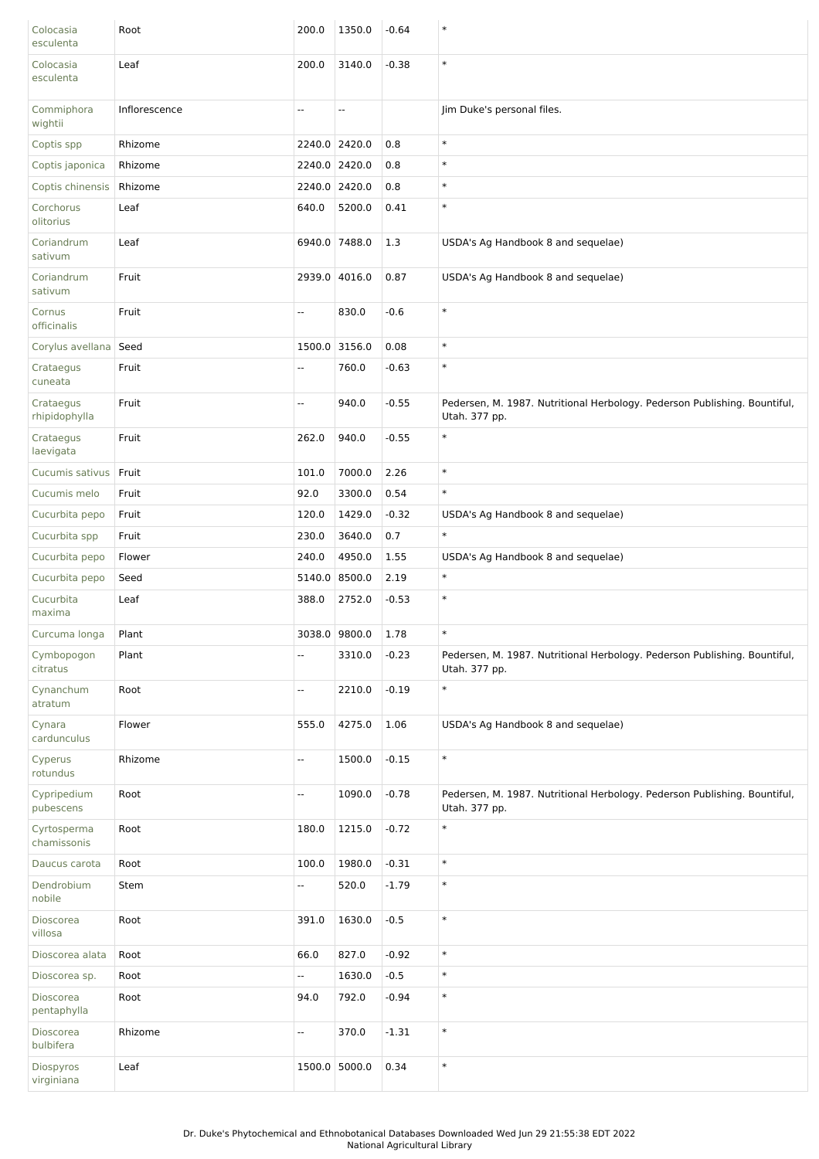| Colocasia<br>esculenta     | Root          | 200.0                    | 1350.0        | $-0.64$ | $\ast$                                                                                     |
|----------------------------|---------------|--------------------------|---------------|---------|--------------------------------------------------------------------------------------------|
| Colocasia<br>esculenta     | Leaf          | 200.0                    | 3140.0        | $-0.38$ | $\ast$                                                                                     |
| Commiphora<br>wightii      | Inflorescence | --                       | --            |         | Jim Duke's personal files.                                                                 |
| Coptis spp                 | Rhizome       |                          | 2240.0 2420.0 | 0.8     | $\ast$                                                                                     |
| Coptis japonica            | Rhizome       |                          | 2240.0 2420.0 | 0.8     | $\ast$                                                                                     |
| Coptis chinensis           | Rhizome       |                          | 2240.0 2420.0 | 0.8     | $\ast$                                                                                     |
| Corchorus<br>olitorius     | Leaf          | 640.0                    | 5200.0        | 0.41    | $\ast$                                                                                     |
| Coriandrum<br>sativum      | Leaf          |                          | 6940.0 7488.0 | 1.3     | USDA's Ag Handbook 8 and sequelae)                                                         |
| Coriandrum<br>sativum      | Fruit         |                          | 2939.0 4016.0 | 0.87    | USDA's Ag Handbook 8 and sequelae)                                                         |
| Cornus<br>officinalis      | Fruit         | Ξ.                       | 830.0         | $-0.6$  | $\ast$                                                                                     |
| Corylus avellana           | Seed          |                          | 1500.0 3156.0 | 0.08    | $\ast$                                                                                     |
| Crataegus<br>cuneata       | Fruit         | --                       | 760.0         | $-0.63$ | $\ast$                                                                                     |
| Crataegus<br>rhipidophylla | Fruit         | --                       | 940.0         | $-0.55$ | Pedersen, M. 1987. Nutritional Herbology. Pederson Publishing. Bountiful,<br>Utah. 377 pp. |
| Crataegus<br>laevigata     | Fruit         | 262.0                    | 940.0         | $-0.55$ | $\ast$                                                                                     |
| Cucumis sativus            | Fruit         | 101.0                    | 7000.0        | 2.26    | $\ast$                                                                                     |
| Cucumis melo               | Fruit         | 92.0                     | 3300.0        | 0.54    | $\ast$                                                                                     |
| Cucurbita pepo             | Fruit         | 120.0                    | 1429.0        | $-0.32$ | USDA's Ag Handbook 8 and sequelae)                                                         |
| Cucurbita spp              | Fruit         | 230.0                    | 3640.0        | 0.7     | $\ast$                                                                                     |
| Cucurbita pepo             | Flower        | 240.0                    | 4950.0        | 1.55    | USDA's Ag Handbook 8 and sequelae)                                                         |
| Cucurbita pepo             | Seed          | 5140.0                   | 8500.0        | 2.19    | $\ast$                                                                                     |
| Cucurbita<br>maxima        | Leaf          | 388.0                    | 2752.0        | $-0.53$ | $\ast$                                                                                     |
| Curcuma longa              | Plant         |                          | 3038.0 9800.0 | 1.78    | $\ast$                                                                                     |
| Cymbopogon<br>citratus     | Plant         | $\overline{\phantom{a}}$ | 3310.0        | $-0.23$ | Pedersen, M. 1987. Nutritional Herbology. Pederson Publishing. Bountiful,<br>Utah. 377 pp. |
| Cynanchum<br>atratum       | Root          | --                       | 2210.0        | $-0.19$ | $\ast$                                                                                     |
| Cynara<br>cardunculus      | Flower        | 555.0                    | 4275.0        | 1.06    | USDA's Ag Handbook 8 and sequelae)                                                         |
| Cyperus<br>rotundus        | Rhizome       | --                       | 1500.0        | $-0.15$ | $\ast$                                                                                     |
| Cypripedium<br>pubescens   | Root          | Ξ.                       | 1090.0        | $-0.78$ | Pedersen, M. 1987. Nutritional Herbology. Pederson Publishing. Bountiful,<br>Utah. 377 pp. |
| Cyrtosperma<br>chamissonis | Root          | 180.0                    | 1215.0        | $-0.72$ | $\ast$                                                                                     |
| Daucus carota              | Root          | 100.0                    | 1980.0        | $-0.31$ | $\ast$                                                                                     |
| Dendrobium<br>nobile       | Stem          | Ξ.                       | 520.0         | $-1.79$ | $\ast$                                                                                     |
| Dioscorea<br>villosa       | Root          | 391.0                    | 1630.0        | $-0.5$  | $\ast$                                                                                     |
| Dioscorea alata            | Root          | 66.0                     | 827.0         | $-0.92$ | $\ast$                                                                                     |
| Dioscorea sp.              | Root          | Ξ.                       | 1630.0        | $-0.5$  | $\ast$                                                                                     |
| Dioscorea<br>pentaphylla   | Root          | 94.0                     | 792.0         | $-0.94$ | $\ast$                                                                                     |
| Dioscorea<br>bulbifera     | Rhizome       | Ξ.                       | 370.0         | $-1.31$ | $\ast$                                                                                     |
| Diospyros<br>virginiana    | Leaf          |                          | 1500.0 5000.0 | 0.34    | $\ast$                                                                                     |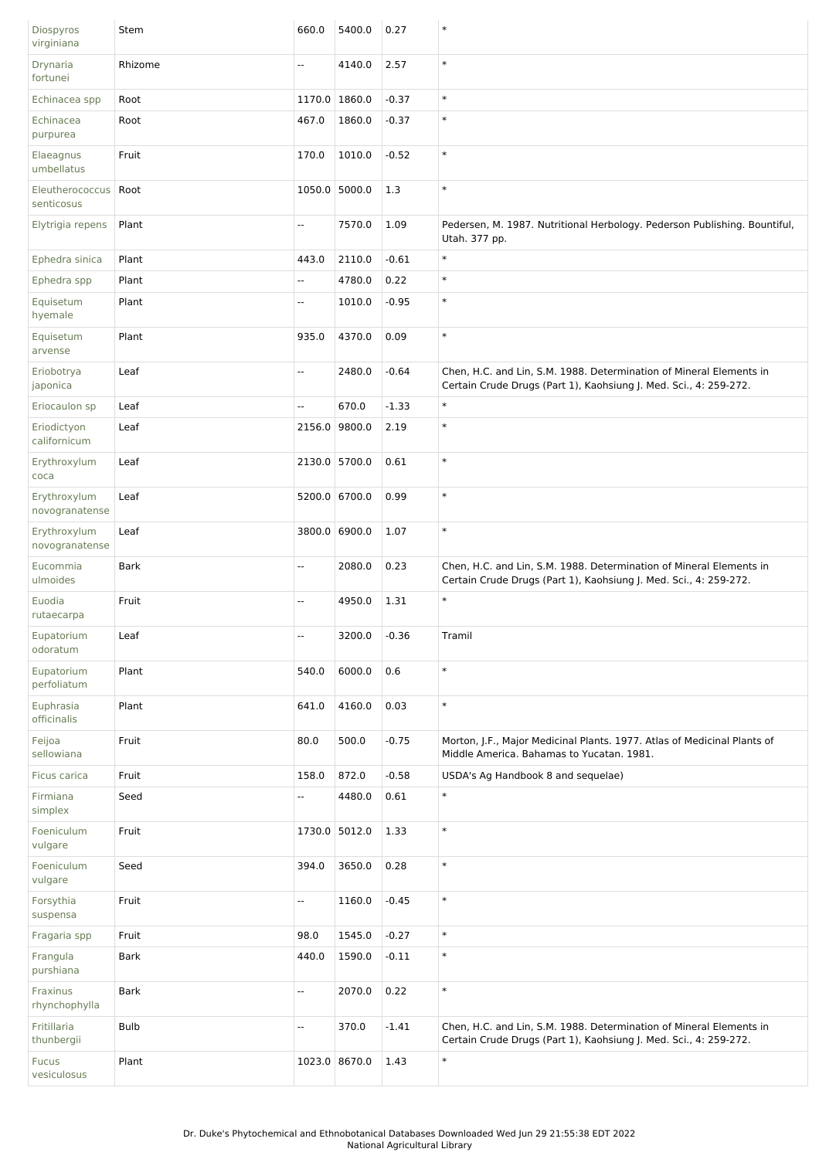| Diospyros<br>virginiana        | Stem        | 660.0         | 5400.0 | 0.27    | $\ast$                                                                                                                                   |
|--------------------------------|-------------|---------------|--------|---------|------------------------------------------------------------------------------------------------------------------------------------------|
| Drynaria<br>fortunei           | Rhizome     | Ξ.            | 4140.0 | 2.57    | $\ast$                                                                                                                                   |
| Echinacea spp                  | Root        | 1170.0 1860.0 |        | $-0.37$ | $\ast$                                                                                                                                   |
| Echinacea<br>purpurea          | Root        | 467.0         | 1860.0 | $-0.37$ | $\ast$                                                                                                                                   |
| Elaeagnus<br>umbellatus        | Fruit       | 170.0         | 1010.0 | $-0.52$ | $\ast$                                                                                                                                   |
| Eleutherococcus<br>senticosus  | Root        | 1050.0 5000.0 |        | 1.3     | $\ast$                                                                                                                                   |
| Elytrigia repens               | Plant       | щ.            | 7570.0 | 1.09    | Pedersen, M. 1987. Nutritional Herbology. Pederson Publishing. Bountiful,<br>Utah. 377 pp.                                               |
| Ephedra sinica                 | Plant       | 443.0         | 2110.0 | $-0.61$ | $\ast$                                                                                                                                   |
| Ephedra spp                    | Plant       | Ξ.            | 4780.0 | 0.22    | $\ast$                                                                                                                                   |
| Equisetum<br>hyemale           | Plant       | --            | 1010.0 | $-0.95$ | $\ast$                                                                                                                                   |
| Equisetum<br>arvense           | Plant       | 935.0         | 4370.0 | 0.09    | $\ast$                                                                                                                                   |
| Eriobotrya<br>japonica         | Leaf        | ۰.            | 2480.0 | $-0.64$ | Chen, H.C. and Lin, S.M. 1988. Determination of Mineral Elements in<br>Certain Crude Drugs (Part 1), Kaohsiung J. Med. Sci., 4: 259-272. |
| Eriocaulon sp                  | Leaf        | Ξ.            | 670.0  | $-1.33$ | $\ast$                                                                                                                                   |
| Eriodictyon<br>californicum    | Leaf        | 2156.0 9800.0 |        | 2.19    | $\ast$                                                                                                                                   |
| Erythroxylum<br>coca           | Leaf        | 2130.0 5700.0 |        | 0.61    | $\ast$                                                                                                                                   |
| Erythroxylum<br>novogranatense | Leaf        | 5200.0 6700.0 |        | 0.99    | $\ast$                                                                                                                                   |
| Erythroxylum<br>novogranatense | Leaf        | 3800.0 6900.0 |        | 1.07    | $\ast$                                                                                                                                   |
| Eucommia<br>ulmoides           | <b>Bark</b> | Ξ.            | 2080.0 | 0.23    | Chen, H.C. and Lin, S.M. 1988. Determination of Mineral Elements in<br>Certain Crude Drugs (Part 1), Kaohsiung J. Med. Sci., 4: 259-272. |
| Euodia<br>rutaecarpa           | Fruit       | --            | 4950.0 | 1.31    | $\ast$                                                                                                                                   |
| Eupatorium<br>odoratum         | Leaf        | --            | 3200.0 | $-0.36$ | Tramil                                                                                                                                   |
| Eupatorium<br>perfoliatum      | Plant       | 540.0         | 6000.0 | 0.6     | $\ast$                                                                                                                                   |
| Euphrasia<br>officinalis       | Plant       | 641.0         | 4160.0 | 0.03    | $\ast$                                                                                                                                   |
| Feijoa<br>sellowiana           | Fruit       | 80.0          | 500.0  | $-0.75$ | Morton, J.F., Major Medicinal Plants. 1977. Atlas of Medicinal Plants of<br>Middle America. Bahamas to Yucatan. 1981.                    |
| Ficus carica                   | Fruit       | 158.0         | 872.0  | $-0.58$ | USDA's Ag Handbook 8 and sequelae)                                                                                                       |
| Firmiana<br>simplex            | Seed        | Ξ.            | 4480.0 | 0.61    | $\ast$                                                                                                                                   |
| Foeniculum<br>vulgare          | Fruit       | 1730.0 5012.0 |        | 1.33    | $\ast$                                                                                                                                   |
| Foeniculum<br>vulgare          | Seed        | 394.0         | 3650.0 | 0.28    | $\ast$                                                                                                                                   |
| Forsythia<br>suspensa          | Fruit       | Ξ.            | 1160.0 | $-0.45$ | $\ast$                                                                                                                                   |
| Fragaria spp                   | Fruit       | 98.0          | 1545.0 | $-0.27$ | $\ast$                                                                                                                                   |
| Frangula<br>purshiana          | <b>Bark</b> | 440.0         | 1590.0 | $-0.11$ | $\ast$                                                                                                                                   |
| Fraxinus<br>rhynchophylla      | <b>Bark</b> | Ξ.            | 2070.0 | 0.22    | $\ast$                                                                                                                                   |
| Fritillaria<br>thunbergii      | <b>Bulb</b> | --            | 370.0  | $-1.41$ | Chen, H.C. and Lin, S.M. 1988. Determination of Mineral Elements in<br>Certain Crude Drugs (Part 1), Kaohsiung J. Med. Sci., 4: 259-272. |
| <b>Fucus</b><br>vesiculosus    | Plant       | 1023.0 8670.0 |        | 1.43    | $\ast$                                                                                                                                   |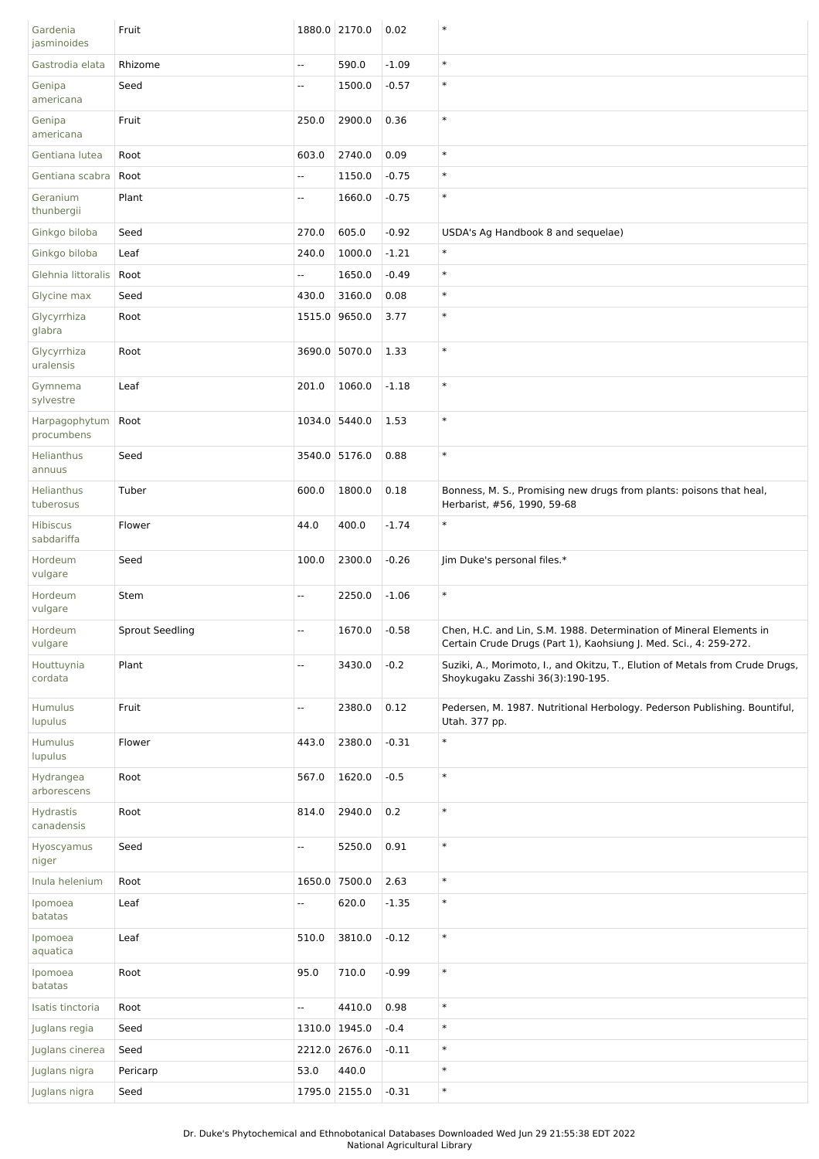| Gardenia<br>jasminoides        | Fruit                  |               | 1880.0 2170.0 | 0.02    | $\ast$                                                                                                                                   |
|--------------------------------|------------------------|---------------|---------------|---------|------------------------------------------------------------------------------------------------------------------------------------------|
| Gastrodia elata                | Rhizome                | Ξ.            | 590.0         | $-1.09$ | $\ast$                                                                                                                                   |
| Genipa<br>americana            | Seed                   | --            | 1500.0        | $-0.57$ | $\ast$                                                                                                                                   |
| Genipa<br>americana            | Fruit                  | 250.0         | 2900.0        | 0.36    | $\ast$                                                                                                                                   |
| Gentiana lutea                 | Root                   | 603.0         | 2740.0        | 0.09    | $\ast$                                                                                                                                   |
| Gentiana scabra                | Root                   | --            | 1150.0        | $-0.75$ | $\ast$                                                                                                                                   |
| Geranium<br>thunbergii         | Plant                  | щ.            | 1660.0        | $-0.75$ | $\ast$                                                                                                                                   |
| Ginkgo biloba                  | Seed                   | 270.0         | 605.0         | $-0.92$ | USDA's Ag Handbook 8 and sequelae)                                                                                                       |
| Ginkgo biloba                  | Leaf                   | 240.0         | 1000.0        | $-1.21$ | $\ast$                                                                                                                                   |
| Glehnia littoralis             | Root                   | Ξ.            | 1650.0        | $-0.49$ | $\ast$                                                                                                                                   |
| Glycine max                    | Seed                   | 430.0         | 3160.0        | 0.08    | $\ast$                                                                                                                                   |
| Glycyrrhiza<br>glabra          | Root                   | 1515.0        | 9650.0        | 3.77    | $\ast$                                                                                                                                   |
| Glycyrrhiza<br>uralensis       | Root                   |               | 3690.0 5070.0 | 1.33    | $\ast$                                                                                                                                   |
| Gymnema<br>sylvestre           | Leaf                   | 201.0         | 1060.0        | $-1.18$ | $\ast$                                                                                                                                   |
| Harpagophytum<br>procumbens    | Root                   | 1034.0 5440.0 |               | 1.53    | $\ast$                                                                                                                                   |
| Helianthus<br>annuus           | Seed                   | 3540.0 5176.0 |               | 0.88    | $\ast$                                                                                                                                   |
| Helianthus<br>tuberosus        | Tuber                  | 600.0         | 1800.0        | 0.18    | Bonness, M. S., Promising new drugs from plants: poisons that heal,<br>Herbarist, #56, 1990, 59-68                                       |
| <b>Hibiscus</b><br>sabdariffa  | Flower                 | 44.0          | 400.0         | $-1.74$ | $\ast$                                                                                                                                   |
| Hordeum<br>vulgare             | Seed                   | 100.0         | 2300.0        | $-0.26$ | Jim Duke's personal files.*                                                                                                              |
| Hordeum<br>vulgare             | Stem                   | Ξ.            | 2250.0        | $-1.06$ | $\ast$                                                                                                                                   |
| Hordeum<br>vulgare             | <b>Sprout Seedling</b> | Ξ.            | 1670.0        | $-0.58$ | Chen, H.C. and Lin, S.M. 1988. Determination of Mineral Elements in<br>Certain Crude Drugs (Part 1), Kaohsiung J. Med. Sci., 4: 259-272. |
| Houttuynia<br>cordata          | Plant                  | --            | 3430.0        | $-0.2$  | Suziki, A., Morimoto, I., and Okitzu, T., Elution of Metals from Crude Drugs,<br>Shoykugaku Zasshi 36(3):190-195.                        |
| Humulus<br>lupulus             | Fruit                  | Ξ.            | 2380.0        | 0.12    | Pedersen, M. 1987. Nutritional Herbology. Pederson Publishing. Bountiful,<br>Utah. 377 pp.                                               |
| Humulus<br>lupulus             | Flower                 | 443.0         | 2380.0        | $-0.31$ | $\ast$                                                                                                                                   |
| Hydrangea<br>arborescens       | Root                   | 567.0         | 1620.0        | $-0.5$  | $\ast$                                                                                                                                   |
| <b>Hydrastis</b><br>canadensis | Root                   | 814.0         | 2940.0        | 0.2     | $\ast$                                                                                                                                   |
| Hyoscyamus<br>niger            | Seed                   | ۰.            | 5250.0        | 0.91    | $\ast$                                                                                                                                   |
| Inula helenium                 | Root                   | 1650.0 7500.0 |               | 2.63    | $\ast$                                                                                                                                   |
| Ipomoea<br>batatas             | Leaf                   | 4             | 620.0         | $-1.35$ | $\ast$                                                                                                                                   |
| Ipomoea<br>aquatica            | Leaf                   | 510.0         | 3810.0        | $-0.12$ | $\ast$                                                                                                                                   |
| Ipomoea<br>batatas             | Root                   | 95.0          | 710.0         | $-0.99$ | $\ast$                                                                                                                                   |
| Isatis tinctoria               | Root                   | Ξ.            | 4410.0        | 0.98    | $\ast$                                                                                                                                   |
| Juglans regia                  | Seed                   | 1310.0 1945.0 |               | $-0.4$  | $\ast$                                                                                                                                   |
| Juglans cinerea                | Seed                   | 2212.0        | 2676.0        | $-0.11$ | $\ast$                                                                                                                                   |
| Juglans nigra                  | Pericarp               | 53.0          | 440.0         |         | $\ast$                                                                                                                                   |
| Juglans nigra                  | Seed                   |               | 1795.0 2155.0 | $-0.31$ | $\ast$                                                                                                                                   |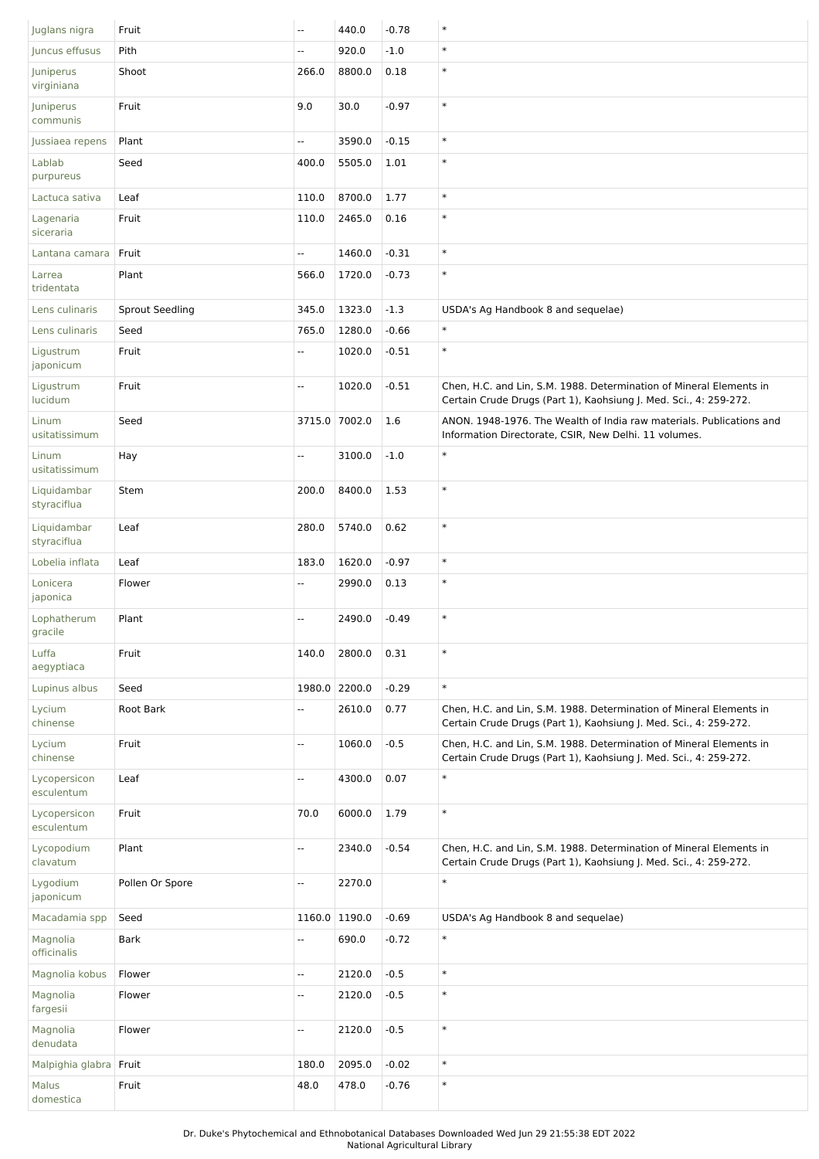| Juglans nigra              | Fruit                  | $\overline{\phantom{a}}$ | 440.0         | $-0.78$ | $\ast$                                                                                                                                   |
|----------------------------|------------------------|--------------------------|---------------|---------|------------------------------------------------------------------------------------------------------------------------------------------|
| Juncus effusus             | Pith                   | $\overline{\phantom{a}}$ | 920.0         | $-1.0$  | $\ast$                                                                                                                                   |
| Juniperus<br>virginiana    | Shoot                  | 266.0                    | 8800.0        | 0.18    | $\ast$                                                                                                                                   |
| Juniperus<br>communis      | Fruit                  | 9.0                      | 30.0          | $-0.97$ | $\ast$                                                                                                                                   |
| Jussiaea repens            | Plant                  | Ξ.                       | 3590.0        | $-0.15$ | $\ast$                                                                                                                                   |
| Lablab<br>purpureus        | Seed                   | 400.0                    | 5505.0        | 1.01    | $\ast$                                                                                                                                   |
| Lactuca sativa             | Leaf                   | 110.0                    | 8700.0        | 1.77    | $\ast$                                                                                                                                   |
| Lagenaria<br>siceraria     | Fruit                  | 110.0                    | 2465.0        | 0.16    | $\ast$                                                                                                                                   |
| Lantana camara             | Fruit                  | Ξ.                       | 1460.0        | $-0.31$ | $\ast$                                                                                                                                   |
| Larrea<br>tridentata       | Plant                  | 566.0                    | 1720.0        | $-0.73$ | $\ast$                                                                                                                                   |
| Lens culinaris             | <b>Sprout Seedling</b> | 345.0                    | 1323.0        | $-1.3$  | USDA's Ag Handbook 8 and sequelae)                                                                                                       |
| Lens culinaris             | Seed                   | 765.0                    | 1280.0        | $-0.66$ | $\ast$                                                                                                                                   |
| Ligustrum<br>japonicum     | Fruit                  | Ξ.                       | 1020.0        | $-0.51$ | $\ast$                                                                                                                                   |
| Ligustrum<br>lucidum       | Fruit                  | $\overline{\phantom{a}}$ | 1020.0        | $-0.51$ | Chen, H.C. and Lin, S.M. 1988. Determination of Mineral Elements in<br>Certain Crude Drugs (Part 1), Kaohsiung J. Med. Sci., 4: 259-272. |
| Linum<br>usitatissimum     | Seed                   |                          | 3715.0 7002.0 | 1.6     | ANON. 1948-1976. The Wealth of India raw materials. Publications and<br>Information Directorate, CSIR, New Delhi. 11 volumes.            |
| Linum<br>usitatissimum     | Hay                    | Щ,                       | 3100.0        | $-1.0$  | $\ast$                                                                                                                                   |
| Liquidambar<br>styraciflua | Stem                   | 200.0                    | 8400.0        | 1.53    | $\ast$                                                                                                                                   |
| Liquidambar<br>styraciflua | Leaf                   | 280.0                    | 5740.0        | 0.62    | $\ast$                                                                                                                                   |
| Lobelia inflata            | Leaf                   | 183.0                    | 1620.0        | $-0.97$ | $\ast$                                                                                                                                   |
| Lonicera<br>japonica       | Flower                 | $\overline{\phantom{a}}$ | 2990.0        | 0.13    | $\ast$                                                                                                                                   |
| Lophatherum<br>gracile     | Plant                  | $\overline{\phantom{a}}$ | 2490.0        | $-0.49$ | $\ast$                                                                                                                                   |
| Luffa<br>aegyptiaca        | Fruit                  | 140.0                    | 2800.0        | 0.31    | $\ast$                                                                                                                                   |
| Lupinus albus              | Seed                   |                          | 1980.0 2200.0 | $-0.29$ | $\ast$                                                                                                                                   |
| Lycium<br>chinense         | Root Bark              | $\overline{\phantom{a}}$ | 2610.0        | 0.77    | Chen, H.C. and Lin, S.M. 1988. Determination of Mineral Elements in<br>Certain Crude Drugs (Part 1), Kaohsiung J. Med. Sci., 4: 259-272. |
| Lycium<br>chinense         | Fruit                  | Ξ.                       | 1060.0        | $-0.5$  | Chen, H.C. and Lin, S.M. 1988. Determination of Mineral Elements in<br>Certain Crude Drugs (Part 1), Kaohsiung J. Med. Sci., 4: 259-272. |
| Lycopersicon<br>esculentum | Leaf                   | Ξ.                       | 4300.0        | 0.07    | $\ast$                                                                                                                                   |
| Lycopersicon<br>esculentum | Fruit                  | 70.0                     | 6000.0        | 1.79    | $\ast$                                                                                                                                   |
| Lycopodium<br>clavatum     | Plant                  | $\overline{\phantom{a}}$ | 2340.0        | $-0.54$ | Chen, H.C. and Lin, S.M. 1988. Determination of Mineral Elements in<br>Certain Crude Drugs (Part 1), Kaohsiung J. Med. Sci., 4: 259-272. |
| Lygodium<br>japonicum      | Pollen Or Spore        | Ξ.                       | 2270.0        |         | $\ast$                                                                                                                                   |
| Macadamia spp              | Seed                   |                          | 1160.0 1190.0 | $-0.69$ | USDA's Ag Handbook 8 and sequelae)                                                                                                       |
| Magnolia<br>officinalis    | <b>Bark</b>            | Ξ.                       | 690.0         | $-0.72$ | $\ast$                                                                                                                                   |
| Magnolia kobus             | Flower                 | Щ,                       | 2120.0        | $-0.5$  | $\ast$                                                                                                                                   |
| Magnolia<br>fargesii       | Flower                 | Щ,                       | 2120.0        | $-0.5$  | $\ast$                                                                                                                                   |
| Magnolia<br>denudata       | Flower                 | $\overline{\phantom{a}}$ | 2120.0        | $-0.5$  | $\ast$                                                                                                                                   |
| Malpighia glabra Fruit     |                        | 180.0                    | 2095.0        | $-0.02$ | $\ast$                                                                                                                                   |
| Malus<br>domestica         | Fruit                  | 48.0                     | 478.0         | $-0.76$ | $\ast$                                                                                                                                   |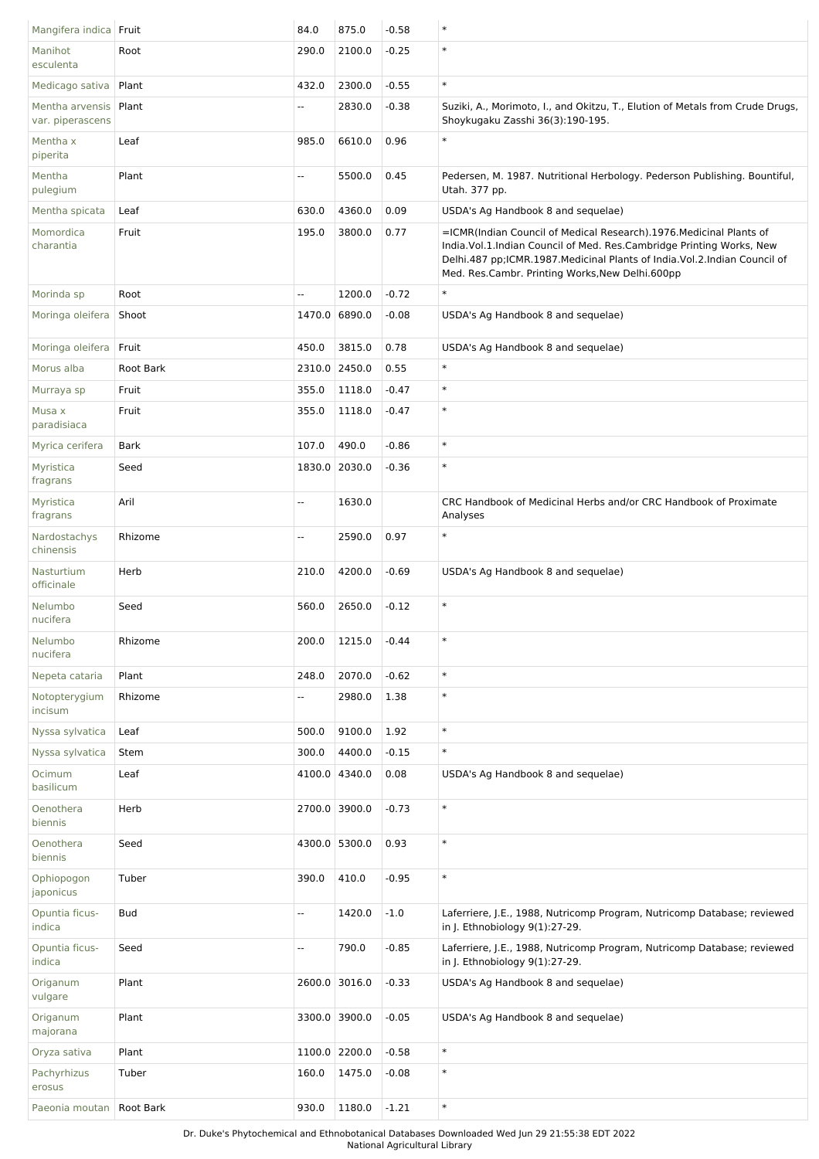| Mangifera indica Fruit              |             | 84.0                     | 875.0          | $-0.58$ | $\ast$                                                                                                                                                                                                                                                                         |
|-------------------------------------|-------------|--------------------------|----------------|---------|--------------------------------------------------------------------------------------------------------------------------------------------------------------------------------------------------------------------------------------------------------------------------------|
| Manihot<br>esculenta                | Root        | 290.0                    | 2100.0         | $-0.25$ | $\ast$                                                                                                                                                                                                                                                                         |
| Medicago sativa                     | Plant       | 432.0                    | 2300.0         | $-0.55$ | $\ast$                                                                                                                                                                                                                                                                         |
| Mentha arvensis<br>var. piperascens | Plant       | $\overline{\phantom{a}}$ | 2830.0         | $-0.38$ | Suziki, A., Morimoto, I., and Okitzu, T., Elution of Metals from Crude Drugs,<br>Shoykugaku Zasshi 36(3):190-195.                                                                                                                                                              |
| Mentha x<br>piperita                | Leaf        | 985.0                    | 6610.0         | 0.96    | $\ast$                                                                                                                                                                                                                                                                         |
| Mentha<br>pulegium                  | Plant       | --                       | 5500.0         | 0.45    | Pedersen, M. 1987. Nutritional Herbology. Pederson Publishing. Bountiful,<br>Utah. 377 pp.                                                                                                                                                                                     |
| Mentha spicata                      | Leaf        | 630.0                    | 4360.0         | 0.09    | USDA's Ag Handbook 8 and sequelae)                                                                                                                                                                                                                                             |
| Momordica<br>charantia              | Fruit       | 195.0                    | 3800.0         | 0.77    | =ICMR(Indian Council of Medical Research).1976. Medicinal Plants of<br>India. Vol. 1. Indian Council of Med. Res. Cambridge Printing Works, New<br>Delhi.487 pp;ICMR.1987.Medicinal Plants of India.Vol.2.Indian Council of<br>Med. Res.Cambr. Printing Works, New Delhi.600pp |
| Morinda sp                          | Root        | $\overline{\phantom{a}}$ | 1200.0         | $-0.72$ | $\ast$                                                                                                                                                                                                                                                                         |
| Moringa oleifera                    | Shoot       |                          | 1470.0 6890.0  | $-0.08$ | USDA's Ag Handbook 8 and sequelae)                                                                                                                                                                                                                                             |
| Moringa oleifera                    | Fruit       | 450.0                    | 3815.0         | 0.78    | USDA's Ag Handbook 8 and sequelae)                                                                                                                                                                                                                                             |
| Morus alba                          | Root Bark   | 2310.0                   | 2450.0         | 0.55    | $\ast$                                                                                                                                                                                                                                                                         |
| Murraya sp                          | Fruit       | 355.0                    | 1118.0         | $-0.47$ | $\ast$                                                                                                                                                                                                                                                                         |
| Musa x<br>paradisiaca               | Fruit       | 355.0                    | 1118.0         | $-0.47$ | $\ast$                                                                                                                                                                                                                                                                         |
| Myrica cerifera                     | <b>Bark</b> | 107.0                    | 490.0          | $-0.86$ | $\ast$                                                                                                                                                                                                                                                                         |
| Myristica<br>fragrans               | Seed        |                          | 1830.0 2030.0  | $-0.36$ | $\ast$                                                                                                                                                                                                                                                                         |
| Myristica<br>fragrans               | Aril        | --                       | 1630.0         |         | CRC Handbook of Medicinal Herbs and/or CRC Handbook of Proximate<br>Analyses                                                                                                                                                                                                   |
| Nardostachys<br>chinensis           | Rhizome     | Ξ.                       | 2590.0         | 0.97    | $\ast$                                                                                                                                                                                                                                                                         |
| Nasturtium<br>officinale            | Herb        | 210.0                    | 4200.0         | $-0.69$ | USDA's Ag Handbook 8 and sequelae)                                                                                                                                                                                                                                             |
| Nelumbo<br>nucifera                 | Seed        | 560.0                    | 2650.0         | $-0.12$ | $\ast$                                                                                                                                                                                                                                                                         |
| Nelumbo<br>nucifera                 | Rhizome     | 200.0                    | 1215.0         | $-0.44$ | $\ast$                                                                                                                                                                                                                                                                         |
| Nepeta cataria                      | Plant       | 248.0                    | 2070.0         | $-0.62$ | $\ast$                                                                                                                                                                                                                                                                         |
| Notopterygium<br>incisum            | Rhizome     | --                       | 2980.0         | 1.38    | $\ast$                                                                                                                                                                                                                                                                         |
| Nyssa sylvatica                     | Leaf        | 500.0                    | 9100.0         | 1.92    | $\ast$                                                                                                                                                                                                                                                                         |
| Nyssa sylvatica                     | Stem        | 300.0                    | 4400.0         | $-0.15$ | $\ast$                                                                                                                                                                                                                                                                         |
| Ocimum<br>basilicum                 | Leaf        |                          | 4100.0 4340.0  | 0.08    | USDA's Ag Handbook 8 and sequelae)                                                                                                                                                                                                                                             |
| Oenothera<br>biennis                | Herb        |                          | 2700.0 3900.0  | $-0.73$ | $\ast$                                                                                                                                                                                                                                                                         |
| Oenothera<br>biennis                | Seed        |                          | 4300.0 5300.0  | 0.93    | $\ast$                                                                                                                                                                                                                                                                         |
| Ophiopogon<br>japonicus             | Tuber       | 390.0                    | 410.0          | $-0.95$ | $\ast$                                                                                                                                                                                                                                                                         |
| Opuntia ficus-<br>indica            | Bud         | --                       | 1420.0         | $-1.0$  | Laferriere, J.E., 1988, Nutricomp Program, Nutricomp Database; reviewed<br>in J. Ethnobiology 9(1):27-29.                                                                                                                                                                      |
| Opuntia ficus-<br>indica            | Seed        | --                       | 790.0          | $-0.85$ | Laferriere, J.E., 1988, Nutricomp Program, Nutricomp Database; reviewed<br>in J. Ethnobiology 9(1):27-29.                                                                                                                                                                      |
| Origanum<br>vulgare                 | Plant       |                          | 2600.0 3016.0  | $-0.33$ | USDA's Ag Handbook 8 and sequelae)                                                                                                                                                                                                                                             |
| Origanum<br>majorana                | Plant       |                          | 3300.0 3900.0  | $-0.05$ | USDA's Ag Handbook 8 and sequelae)                                                                                                                                                                                                                                             |
| Oryza sativa                        | Plant       |                          | 1100.0 2200.0  | $-0.58$ | $\ast$                                                                                                                                                                                                                                                                         |
| Pachyrhizus<br>erosus               | Tuber       | 160.0                    | 1475.0         | $-0.08$ | $\ast$                                                                                                                                                                                                                                                                         |
| Paeonia moutan   Root Bark          |             | 930.0                    | $1180.0$ -1.21 |         | $\ast$                                                                                                                                                                                                                                                                         |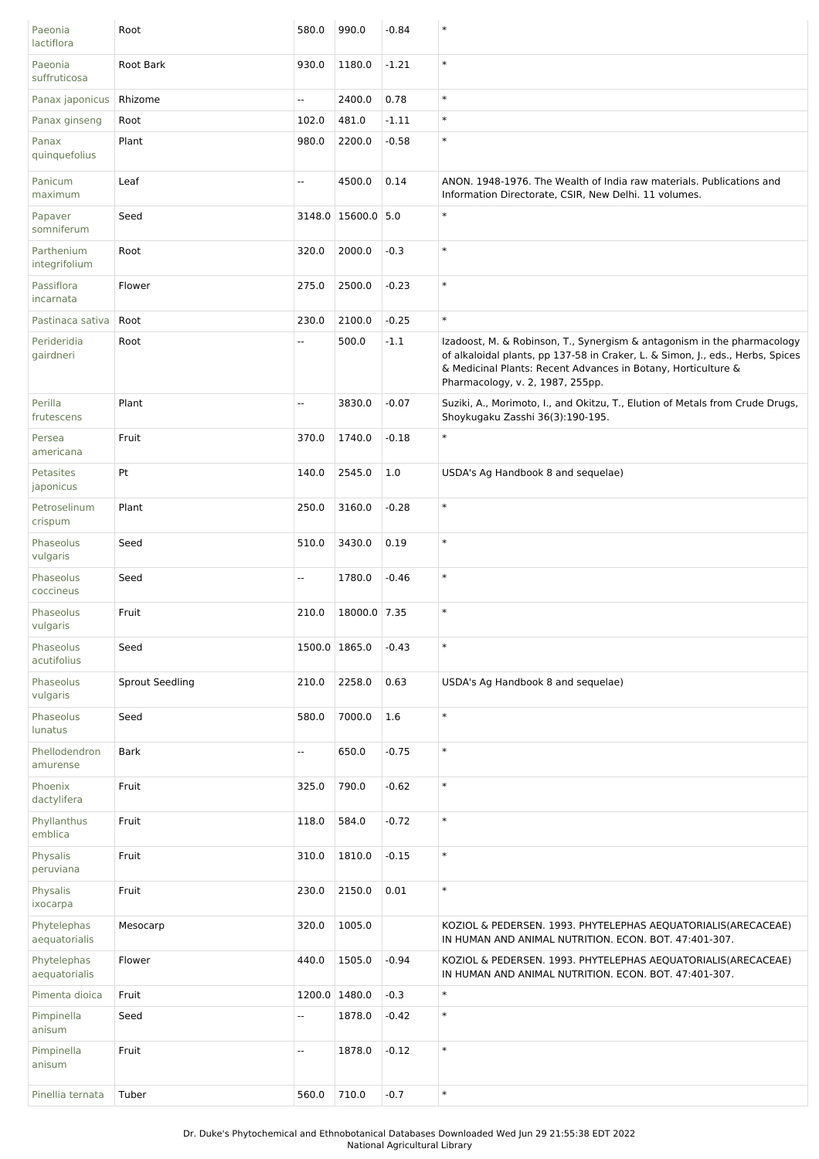| Paeonia<br>lactiflora        | Root            | 580.0                    | 990.0              | $-0.84$ | $\ast$                                                                                                                                                                                                                                                         |
|------------------------------|-----------------|--------------------------|--------------------|---------|----------------------------------------------------------------------------------------------------------------------------------------------------------------------------------------------------------------------------------------------------------------|
| Paeonia<br>suffruticosa      | Root Bark       | 930.0                    | 1180.0             | $-1.21$ | $\ast$                                                                                                                                                                                                                                                         |
| Panax japonicus              | Rhizome         | Ξ.                       | 2400.0             | 0.78    | $\ast$                                                                                                                                                                                                                                                         |
| Panax ginseng                | Root            | 102.0                    | 481.0              | $-1.11$ | $\ast$                                                                                                                                                                                                                                                         |
| Panax<br>quinquefolius       | Plant           | 980.0                    | 2200.0             | $-0.58$ | $\ast$                                                                                                                                                                                                                                                         |
| Panicum<br>maximum           | Leaf            | Ξ.                       | 4500.0             | 0.14    | ANON. 1948-1976. The Wealth of India raw materials. Publications and<br>Information Directorate, CSIR, New Delhi. 11 volumes.                                                                                                                                  |
| Papaver<br>somniferum        | Seed            |                          | 3148.0 15600.0 5.0 |         | $\ast$                                                                                                                                                                                                                                                         |
| Parthenium<br>integrifolium  | Root            | 320.0                    | 2000.0             | $-0.3$  | $\ast$                                                                                                                                                                                                                                                         |
| Passiflora<br>incarnata      | Flower          | 275.0                    | 2500.0             | $-0.23$ | $\ast$                                                                                                                                                                                                                                                         |
| Pastinaca sativa             | Root            | 230.0                    | 2100.0             | $-0.25$ | $\ast$                                                                                                                                                                                                                                                         |
| Perideridia<br>gairdneri     | Root            | Ξ.                       | 500.0              | $-1.1$  | Izadoost, M. & Robinson, T., Synergism & antagonism in the pharmacology<br>of alkaloidal plants, pp 137-58 in Craker, L. & Simon, J., eds., Herbs, Spices<br>& Medicinal Plants: Recent Advances in Botany, Horticulture &<br>Pharmacology, v. 2, 1987, 255pp. |
| Perilla<br>frutescens        | Plant           | Ξ.                       | 3830.0             | $-0.07$ | Suziki, A., Morimoto, I., and Okitzu, T., Elution of Metals from Crude Drugs,<br>Shoykugaku Zasshi 36(3):190-195.                                                                                                                                              |
| Persea<br>americana          | Fruit           | 370.0                    | 1740.0             | $-0.18$ | $\ast$                                                                                                                                                                                                                                                         |
| Petasites<br>japonicus       | Pt              | 140.0                    | 2545.0             | 1.0     | USDA's Ag Handbook 8 and sequelae)                                                                                                                                                                                                                             |
| Petroselinum<br>crispum      | Plant           | 250.0                    | 3160.0             | $-0.28$ | $\ast$                                                                                                                                                                                                                                                         |
| Phaseolus<br>vulgaris        | Seed            | 510.0                    | 3430.0             | 0.19    | $\ast$                                                                                                                                                                                                                                                         |
| Phaseolus<br>coccineus       | Seed            | Ξ.                       | 1780.0             | $-0.46$ | $\ast$                                                                                                                                                                                                                                                         |
| Phaseolus<br>vulgaris        | Fruit           | 210.0                    | 18000.0 7.35       |         | $\ast$                                                                                                                                                                                                                                                         |
| Phaseolus<br>acutifolius     | Seed            |                          | 1500.0 1865.0      | $-0.43$ | $\ast$                                                                                                                                                                                                                                                         |
| Phaseolus<br>vulgaris        | Sprout Seedling | 210.0                    | 2258.0             | 0.63    | USDA's Ag Handbook 8 and sequelae)                                                                                                                                                                                                                             |
| Phaseolus<br>lunatus         | Seed            | 580.0                    | 7000.0             | 1.6     | $\ast$                                                                                                                                                                                                                                                         |
| Phellodendron<br>amurense    | <b>Bark</b>     | Ξ.                       | 650.0              | $-0.75$ | $\ast$                                                                                                                                                                                                                                                         |
| Phoenix<br>dactylifera       | Fruit           | 325.0                    | 790.0              | $-0.62$ | $\ast$                                                                                                                                                                                                                                                         |
| Phyllanthus<br>emblica       | Fruit           | 118.0                    | 584.0              | $-0.72$ | $\ast$                                                                                                                                                                                                                                                         |
| Physalis<br>peruviana        | Fruit           | 310.0                    | 1810.0             | $-0.15$ | $\ast$                                                                                                                                                                                                                                                         |
| Physalis<br>ixocarpa         | Fruit           | 230.0                    | 2150.0             | 0.01    | $\ast$                                                                                                                                                                                                                                                         |
| Phytelephas<br>aequatorialis | Mesocarp        | 320.0                    | 1005.0             |         | KOZIOL & PEDERSEN. 1993. PHYTELEPHAS AEQUATORIALIS(ARECACEAE)<br>IN HUMAN AND ANIMAL NUTRITION. ECON. BOT. 47:401-307.                                                                                                                                         |
| Phytelephas<br>aequatorialis | Flower          | 440.0                    | 1505.0             | $-0.94$ | KOZIOL & PEDERSEN. 1993. PHYTELEPHAS AEQUATORIALIS(ARECACEAE)<br>IN HUMAN AND ANIMAL NUTRITION. ECON. BOT. 47:401-307.                                                                                                                                         |
| Pimenta dioica               | Fruit           |                          | 1200.0 1480.0      | $-0.3$  | $\ast$                                                                                                                                                                                                                                                         |
| Pimpinella<br>anisum         | Seed            | Ξ.                       | 1878.0             | $-0.42$ | $\ast$                                                                                                                                                                                                                                                         |
| Pimpinella<br>anisum         | Fruit           | $\overline{\phantom{a}}$ | 1878.0             | $-0.12$ | $\ast$                                                                                                                                                                                                                                                         |
| Pinellia ternata             | Tuber           | 560.0                    | 710.0              | $-0.7$  | $\ast$                                                                                                                                                                                                                                                         |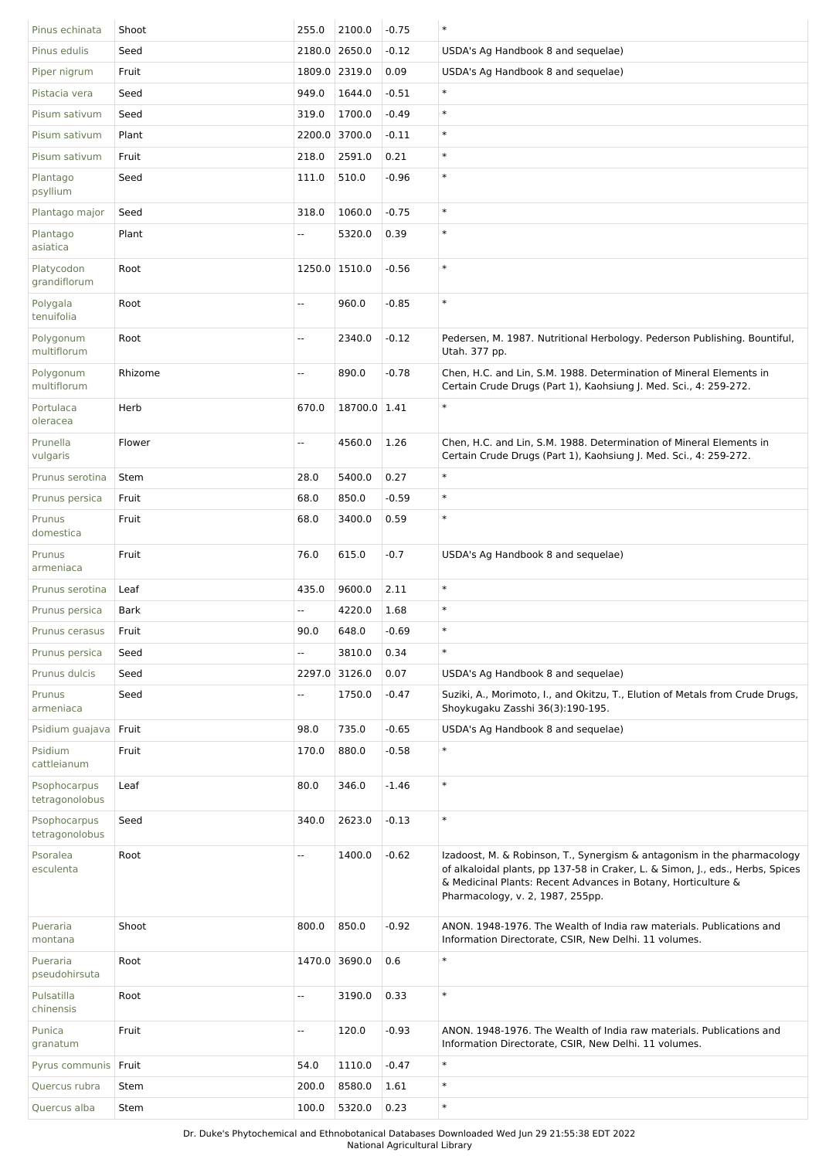| Pinus echinata                 | Shoot   | 255.0                    | 2100.0        | $-0.75$ | $\ast$                                                                                                                                                                                                                                                         |
|--------------------------------|---------|--------------------------|---------------|---------|----------------------------------------------------------------------------------------------------------------------------------------------------------------------------------------------------------------------------------------------------------------|
| Pinus edulis                   | Seed    |                          | 2180.0 2650.0 | $-0.12$ | USDA's Ag Handbook 8 and sequelae)                                                                                                                                                                                                                             |
| Piper nigrum                   | Fruit   |                          | 1809.0 2319.0 | 0.09    | USDA's Ag Handbook 8 and sequelae)                                                                                                                                                                                                                             |
| Pistacia vera                  | Seed    | 949.0                    | 1644.0        | $-0.51$ | $\ast$                                                                                                                                                                                                                                                         |
| Pisum sativum                  | Seed    | 319.0                    | 1700.0        | $-0.49$ | $\ast$                                                                                                                                                                                                                                                         |
| Pisum sativum                  | Plant   | 2200.0                   | 3700.0        | $-0.11$ | $\ast$                                                                                                                                                                                                                                                         |
| Pisum sativum                  | Fruit   | 218.0                    | 2591.0        | 0.21    | $\ast$                                                                                                                                                                                                                                                         |
| Plantago<br>psyllium           | Seed    | 111.0                    | 510.0         | $-0.96$ | $\ast$                                                                                                                                                                                                                                                         |
| Plantago major                 | Seed    | 318.0                    | 1060.0        | $-0.75$ | $\ast$                                                                                                                                                                                                                                                         |
| Plantago<br>asiatica           | Plant   | $\overline{\phantom{a}}$ | 5320.0        | 0.39    | $\ast$                                                                                                                                                                                                                                                         |
| Platycodon<br>grandiflorum     | Root    |                          | 1250.0 1510.0 | $-0.56$ | $\ast$                                                                                                                                                                                                                                                         |
| Polygala<br>tenuifolia         | Root    | $\overline{\phantom{a}}$ | 960.0         | $-0.85$ | $\ast$                                                                                                                                                                                                                                                         |
| Polygonum<br>multiflorum       | Root    | $\overline{\phantom{a}}$ | 2340.0        | $-0.12$ | Pedersen, M. 1987. Nutritional Herbology. Pederson Publishing. Bountiful,<br>Utah. 377 pp.                                                                                                                                                                     |
| Polygonum<br>multiflorum       | Rhizome | Щ,                       | 890.0         | $-0.78$ | Chen, H.C. and Lin, S.M. 1988. Determination of Mineral Elements in<br>Certain Crude Drugs (Part 1), Kaohsiung J. Med. Sci., 4: 259-272.                                                                                                                       |
| Portulaca<br>oleracea          | Herb    | 670.0                    | 18700.0 1.41  |         | $\ast$                                                                                                                                                                                                                                                         |
| Prunella<br>vulgaris           | Flower  | $\overline{\phantom{a}}$ | 4560.0        | 1.26    | Chen, H.C. and Lin, S.M. 1988. Determination of Mineral Elements in<br>Certain Crude Drugs (Part 1), Kaohsiung J. Med. Sci., 4: 259-272.                                                                                                                       |
| Prunus serotina                | Stem    | 28.0                     | 5400.0        | 0.27    | $\ast$                                                                                                                                                                                                                                                         |
| Prunus persica                 | Fruit   | 68.0                     | 850.0         | $-0.59$ | $\ast$                                                                                                                                                                                                                                                         |
| Prunus<br>domestica            | Fruit   | 68.0                     | 3400.0        | 0.59    | $\ast$                                                                                                                                                                                                                                                         |
| Prunus<br>armeniaca            | Fruit   | 76.0                     | 615.0         | $-0.7$  | USDA's Ag Handbook 8 and sequelae)                                                                                                                                                                                                                             |
| Prunus serotina                | Leaf    | 435.0                    | 9600.0        | 2.11    | $\ast$                                                                                                                                                                                                                                                         |
| Prunus persica                 | Bark    | $\overline{\phantom{a}}$ | 4220.0        | 1.68    | $\ast$                                                                                                                                                                                                                                                         |
| Prunus cerasus                 | Fruit   | 90.0                     | 648.0         | $-0.69$ | $\ast$                                                                                                                                                                                                                                                         |
| Prunus persica                 | Seed    | $\overline{\phantom{a}}$ | 3810.0        | 0.34    | $\ast$                                                                                                                                                                                                                                                         |
| Prunus dulcis                  | Seed    |                          | 2297.0 3126.0 | 0.07    | USDA's Ag Handbook 8 and sequelae)                                                                                                                                                                                                                             |
| Prunus<br>armeniaca            | Seed    | Щ,                       | 1750.0        | $-0.47$ | Suziki, A., Morimoto, I., and Okitzu, T., Elution of Metals from Crude Drugs,<br>Shoykugaku Zasshi 36(3):190-195.                                                                                                                                              |
| Psidium quajava                | Fruit   | 98.0                     | 735.0         | $-0.65$ | USDA's Ag Handbook 8 and sequelae)                                                                                                                                                                                                                             |
| Psidium<br>cattleianum         | Fruit   | 170.0                    | 880.0         | $-0.58$ | $\ast$                                                                                                                                                                                                                                                         |
| Psophocarpus<br>tetragonolobus | Leaf    | 80.0                     | 346.0         | $-1.46$ | $\ast$                                                                                                                                                                                                                                                         |
| Psophocarpus<br>tetragonolobus | Seed    | 340.0                    | 2623.0        | $-0.13$ | $\ast$                                                                                                                                                                                                                                                         |
| Psoralea<br>esculenta          | Root    | $\overline{a}$           | 1400.0        | $-0.62$ | Izadoost, M. & Robinson, T., Synergism & antagonism in the pharmacology<br>of alkaloidal plants, pp 137-58 in Craker, L. & Simon, J., eds., Herbs, Spices<br>& Medicinal Plants: Recent Advances in Botany, Horticulture &<br>Pharmacology, v. 2, 1987, 255pp. |
| Pueraria<br>montana            | Shoot   | 800.0                    | 850.0         | $-0.92$ | ANON. 1948-1976. The Wealth of India raw materials. Publications and<br>Information Directorate, CSIR, New Delhi. 11 volumes.                                                                                                                                  |
| Pueraria<br>pseudohirsuta      | Root    |                          | 1470.0 3690.0 | 0.6     | $\ast$                                                                                                                                                                                                                                                         |
| Pulsatilla<br>chinensis        | Root    | $\overline{\phantom{a}}$ | 3190.0        | 0.33    | $\ast$                                                                                                                                                                                                                                                         |
| Punica<br>granatum             | Fruit   | Ξ.                       | 120.0         | $-0.93$ | ANON. 1948-1976. The Wealth of India raw materials. Publications and<br>Information Directorate, CSIR, New Delhi. 11 volumes.                                                                                                                                  |
| Pyrus communis   Fruit         |         | 54.0                     | 1110.0        | $-0.47$ | $\ast$                                                                                                                                                                                                                                                         |
| Quercus rubra                  | Stem    | 200.0                    | 8580.0        | 1.61    | $\ast$                                                                                                                                                                                                                                                         |
| Quercus alba                   | Stem    | 100.0                    | 5320.0        | 0.23    | $\ast$                                                                                                                                                                                                                                                         |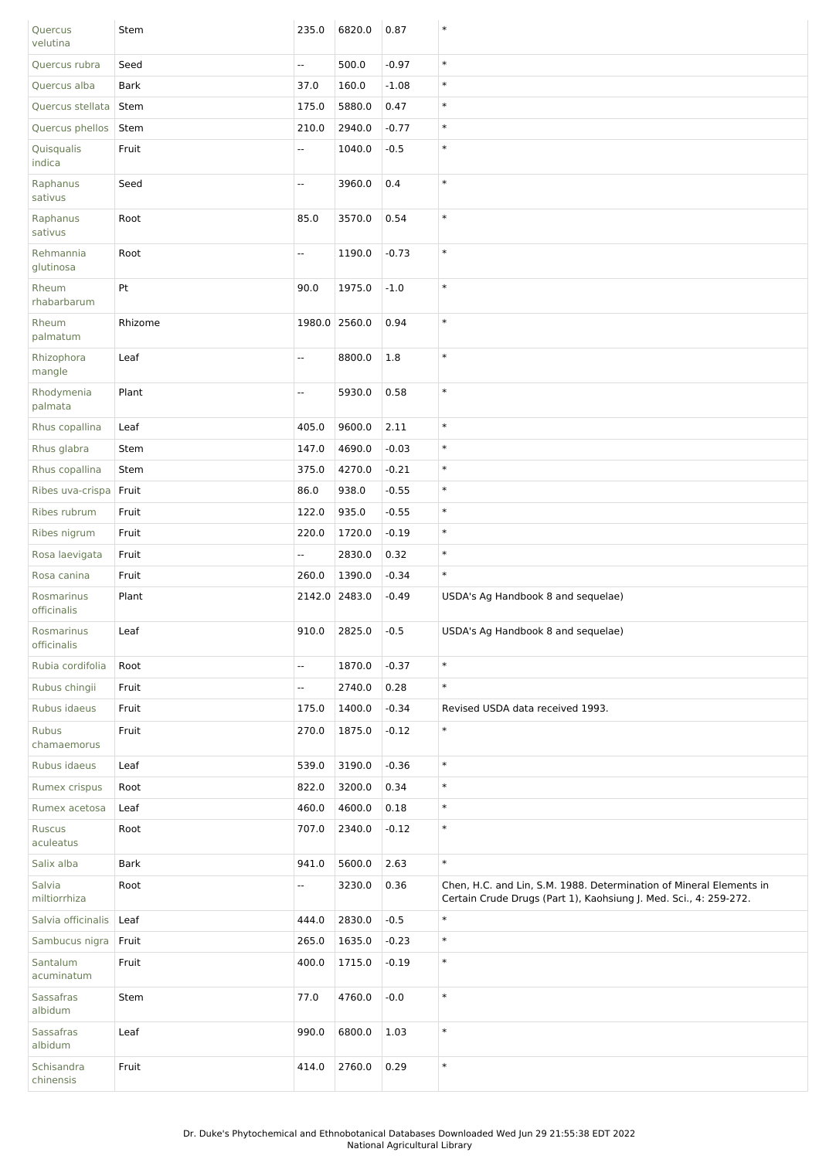| Quercus<br>velutina         | Stem        | 235.0         | 6820.0 | 0.87    | $\ast$                                                                                                                                   |
|-----------------------------|-------------|---------------|--------|---------|------------------------------------------------------------------------------------------------------------------------------------------|
| Quercus rubra               | Seed        | Ξ.            | 500.0  | $-0.97$ | $\ast$                                                                                                                                   |
| Quercus alba                | <b>Bark</b> | 37.0          | 160.0  | $-1.08$ | $\ast$                                                                                                                                   |
| Quercus stellata            | Stem        | 175.0         | 5880.0 | 0.47    | $\ast$                                                                                                                                   |
| Quercus phellos             | Stem        | 210.0         | 2940.0 | $-0.77$ | $\ast$                                                                                                                                   |
| Quisqualis<br>indica        | Fruit       | Ξ.            | 1040.0 | $-0.5$  | $\ast$                                                                                                                                   |
| Raphanus<br>sativus         | Seed        | Щ.            | 3960.0 | 0.4     | $\ast$                                                                                                                                   |
| Raphanus<br>sativus         | Root        | 85.0          | 3570.0 | 0.54    | $\ast$                                                                                                                                   |
| Rehmannia<br>glutinosa      | Root        | --            | 1190.0 | $-0.73$ | $\ast$                                                                                                                                   |
| Rheum<br>rhabarbarum        | Pt          | 90.0          | 1975.0 | $-1.0$  | $\ast$                                                                                                                                   |
| Rheum<br>palmatum           | Rhizome     | 1980.0 2560.0 |        | 0.94    | $\ast$                                                                                                                                   |
| Rhizophora<br>mangle        | Leaf        | Ξ.            | 8800.0 | 1.8     | $\ast$                                                                                                                                   |
| Rhodymenia<br>palmata       | Plant       | ۰.            | 5930.0 | 0.58    | $\ast$                                                                                                                                   |
| Rhus copallina              | Leaf        | 405.0         | 9600.0 | 2.11    | $\ast$                                                                                                                                   |
| Rhus glabra                 | Stem        | 147.0         | 4690.0 | $-0.03$ | $\ast$                                                                                                                                   |
| Rhus copallina              | Stem        | 375.0         | 4270.0 | $-0.21$ | $\ast$                                                                                                                                   |
| Ribes uva-crispa            | Fruit       | 86.0          | 938.0  | $-0.55$ | $\ast$                                                                                                                                   |
| Ribes rubrum                | Fruit       | 122.0         | 935.0  | $-0.55$ | $\ast$                                                                                                                                   |
| Ribes nigrum                | Fruit       | 220.0         | 1720.0 | $-0.19$ | $\ast$                                                                                                                                   |
| Rosa laevigata              | Fruit       | 4             | 2830.0 | 0.32    | $\ast$                                                                                                                                   |
| Rosa canina                 | Fruit       | 260.0         | 1390.0 | $-0.34$ | $\ast$                                                                                                                                   |
| Rosmarinus<br>officinalis   | Plant       | 2142.0        | 2483.0 | $-0.49$ | USDA's Ag Handbook 8 and sequelae)                                                                                                       |
| Rosmarinus<br>officinalis   | Leaf        | 910.0         | 2825.0 | $-0.5$  | USDA's Ag Handbook 8 and sequelae)                                                                                                       |
| Rubia cordifolia            | Root        | --            | 1870.0 | $-0.37$ | $\ast$                                                                                                                                   |
| Rubus chingii               | Fruit       | Ξ.            | 2740.0 | 0.28    | $\ast$                                                                                                                                   |
| Rubus idaeus                | Fruit       | 175.0         | 1400.0 | $-0.34$ | Revised USDA data received 1993.                                                                                                         |
| <b>Rubus</b><br>chamaemorus | Fruit       | 270.0         | 1875.0 | $-0.12$ | $\ast$                                                                                                                                   |
| Rubus idaeus                | Leaf        | 539.0         | 3190.0 | $-0.36$ | $\ast$                                                                                                                                   |
| Rumex crispus               | Root        | 822.0         | 3200.0 | 0.34    | $\ast$                                                                                                                                   |
| Rumex acetosa               | Leaf        | 460.0         | 4600.0 | 0.18    | $\ast$                                                                                                                                   |
| <b>Ruscus</b><br>aculeatus  | Root        | 707.0         | 2340.0 | $-0.12$ | $\ast$                                                                                                                                   |
| Salix alba                  | <b>Bark</b> | 941.0         | 5600.0 | 2.63    | $\ast$                                                                                                                                   |
| Salvia<br>miltiorrhiza      | Root        | Ξ.            | 3230.0 | 0.36    | Chen, H.C. and Lin, S.M. 1988. Determination of Mineral Elements in<br>Certain Crude Drugs (Part 1), Kaohsiung J. Med. Sci., 4: 259-272. |
| Salvia officinalis          | Leaf        | 444.0         | 2830.0 | $-0.5$  | $\ast$                                                                                                                                   |
| Sambucus nigra              | Fruit       | 265.0         | 1635.0 | $-0.23$ | $\ast$                                                                                                                                   |
| Santalum<br>acuminatum      | Fruit       | 400.0         | 1715.0 | $-0.19$ | $\ast$                                                                                                                                   |
| <b>Sassafras</b><br>albidum | Stem        | 77.0          | 4760.0 | $-0.0$  | $\ast$                                                                                                                                   |
| Sassafras<br>albidum        | Leaf        | 990.0         | 6800.0 | 1.03    | $\ast$                                                                                                                                   |
| Schisandra<br>chinensis     | Fruit       | 414.0         | 2760.0 | 0.29    | $\ast$                                                                                                                                   |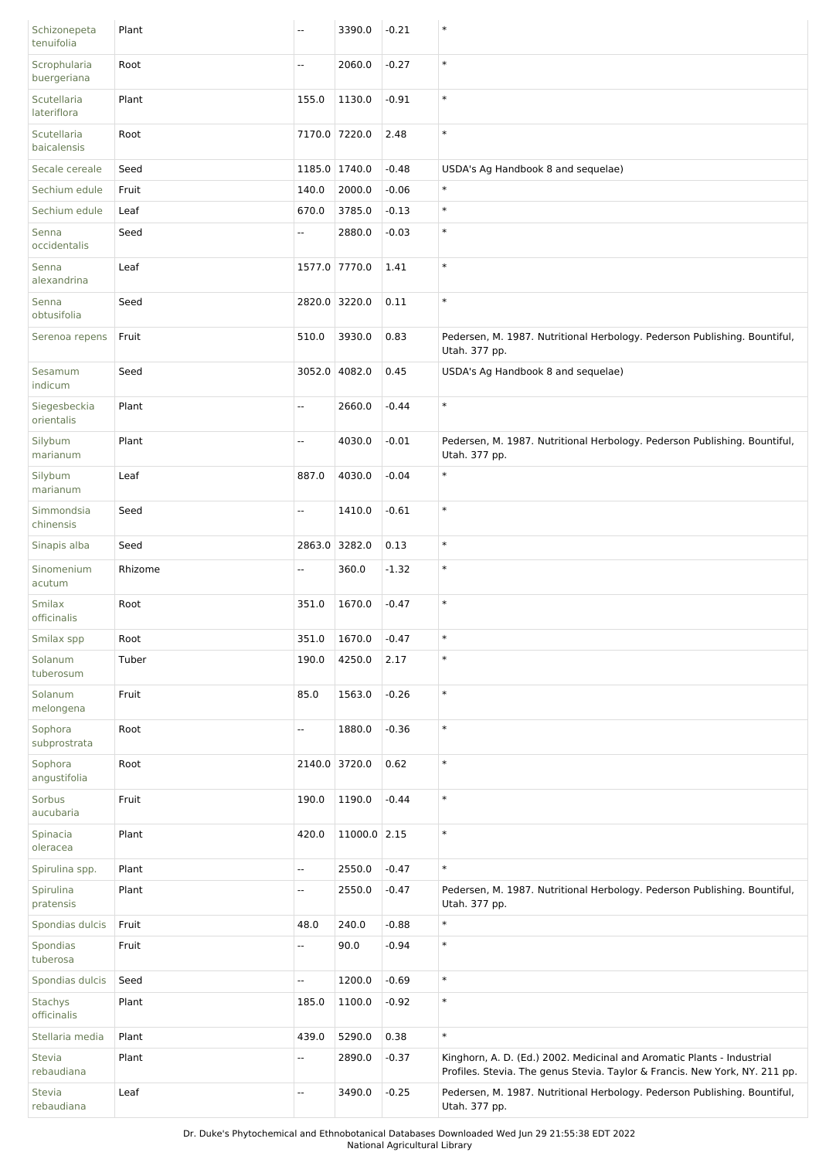| Schizonepeta<br>tenuifolia    | Plant   | Щ,     | 3390.0        | $-0.21$ | $\ast$                                                                                                                                                |
|-------------------------------|---------|--------|---------------|---------|-------------------------------------------------------------------------------------------------------------------------------------------------------|
| Scrophularia<br>buergeriana   | Root    | Щ,     | 2060.0        | $-0.27$ | $\ast$                                                                                                                                                |
| Scutellaria<br>lateriflora    | Plant   | 155.0  | 1130.0        | $-0.91$ | $\ast$                                                                                                                                                |
| Scutellaria<br>baicalensis    | Root    |        | 7170.0 7220.0 | 2.48    | $\ast$                                                                                                                                                |
| Secale cereale                | Seed    |        | 1185.0 1740.0 | $-0.48$ | USDA's Ag Handbook 8 and sequelae)                                                                                                                    |
| Sechium edule                 | Fruit   | 140.0  | 2000.0        | $-0.06$ | $\ast$                                                                                                                                                |
| Sechium edule                 | Leaf    | 670.0  | 3785.0        | $-0.13$ | $\ast$                                                                                                                                                |
| Senna<br>occidentalis         | Seed    | Ξ.     | 2880.0        | $-0.03$ | $\ast$                                                                                                                                                |
| Senna<br>alexandrina          | Leaf    |        | 1577.0 7770.0 | 1.41    | $\ast$                                                                                                                                                |
| Senna<br>obtusifolia          | Seed    |        | 2820.0 3220.0 | 0.11    | $\ast$                                                                                                                                                |
| Serenoa repens                | Fruit   | 510.0  | 3930.0        | 0.83    | Pedersen, M. 1987. Nutritional Herbology. Pederson Publishing. Bountiful,<br>Utah. 377 pp.                                                            |
| Sesamum<br>indicum            | Seed    |        | 3052.0 4082.0 | 0.45    | USDA's Ag Handbook 8 and sequelae)                                                                                                                    |
| Siegesbeckia<br>orientalis    | Plant   | Ξ.     | 2660.0        | $-0.44$ | $\ast$                                                                                                                                                |
| Silybum<br>marianum           | Plant   | Ξ.     | 4030.0        | $-0.01$ | Pedersen, M. 1987. Nutritional Herbology. Pederson Publishing. Bountiful,<br>Utah. 377 pp.                                                            |
| Silybum<br>marianum           | Leaf    | 887.0  | 4030.0        | $-0.04$ | $\ast$                                                                                                                                                |
| Simmondsia<br>chinensis       | Seed    | Ξ.     | 1410.0        | $-0.61$ | $\ast$                                                                                                                                                |
| Sinapis alba                  | Seed    | 2863.0 | 3282.0        | 0.13    | $\ast$                                                                                                                                                |
| Sinomenium<br>acutum          | Rhizome | Ξ.     | 360.0         | $-1.32$ | $\ast$                                                                                                                                                |
| <b>Smilax</b><br>officinalis  | Root    | 351.0  | 1670.0        | $-0.47$ | $\ast$                                                                                                                                                |
| Smilax spp                    | Root    |        | 351.0 1670.0  | $-0.47$ | $\ast$                                                                                                                                                |
| Solanum<br>tuberosum          | Tuber   | 190.0  | 4250.0        | 2.17    | $\ast$                                                                                                                                                |
| Solanum<br>melongena          | Fruit   | 85.0   | 1563.0        | $-0.26$ | $\ast$                                                                                                                                                |
| Sophora<br>subprostrata       | Root    | --     | 1880.0        | $-0.36$ | $\ast$                                                                                                                                                |
| Sophora<br>angustifolia       | Root    |        | 2140.0 3720.0 | 0.62    | $\ast$                                                                                                                                                |
| Sorbus<br>aucubaria           | Fruit   | 190.0  | 1190.0        | $-0.44$ | $\ast$                                                                                                                                                |
| Spinacia<br>oleracea          | Plant   | 420.0  | 11000.0 2.15  |         | $\ast$                                                                                                                                                |
| Spirulina spp.                | Plant   | Ξ.     | 2550.0        | $-0.47$ | $\ast$                                                                                                                                                |
| Spirulina<br>pratensis        | Plant   | 4      | 2550.0        | $-0.47$ | Pedersen, M. 1987. Nutritional Herbology. Pederson Publishing. Bountiful,<br>Utah. 377 pp.                                                            |
| Spondias dulcis               | Fruit   | 48.0   | 240.0         | $-0.88$ | $\ast$                                                                                                                                                |
| Spondias<br>tuberosa          | Fruit   | Ξ.     | 90.0          | $-0.94$ | $\ast$                                                                                                                                                |
| Spondias dulcis               | Seed    | Ξ.     | 1200.0        | $-0.69$ | $\ast$                                                                                                                                                |
| <b>Stachys</b><br>officinalis | Plant   | 185.0  | 1100.0        | $-0.92$ | $\ast$                                                                                                                                                |
| Stellaria media               | Plant   | 439.0  | 5290.0        | 0.38    | $\ast$                                                                                                                                                |
| <b>Stevia</b><br>rebaudiana   | Plant   | н,     | 2890.0        | $-0.37$ | Kinghorn, A. D. (Ed.) 2002. Medicinal and Aromatic Plants - Industrial<br>Profiles. Stevia. The genus Stevia. Taylor & Francis. New York, NY. 211 pp. |
| <b>Stevia</b><br>rebaudiana   | Leaf    | Ξ.     | 3490.0        | $-0.25$ | Pedersen, M. 1987. Nutritional Herbology. Pederson Publishing. Bountiful,<br>Utah. 377 pp.                                                            |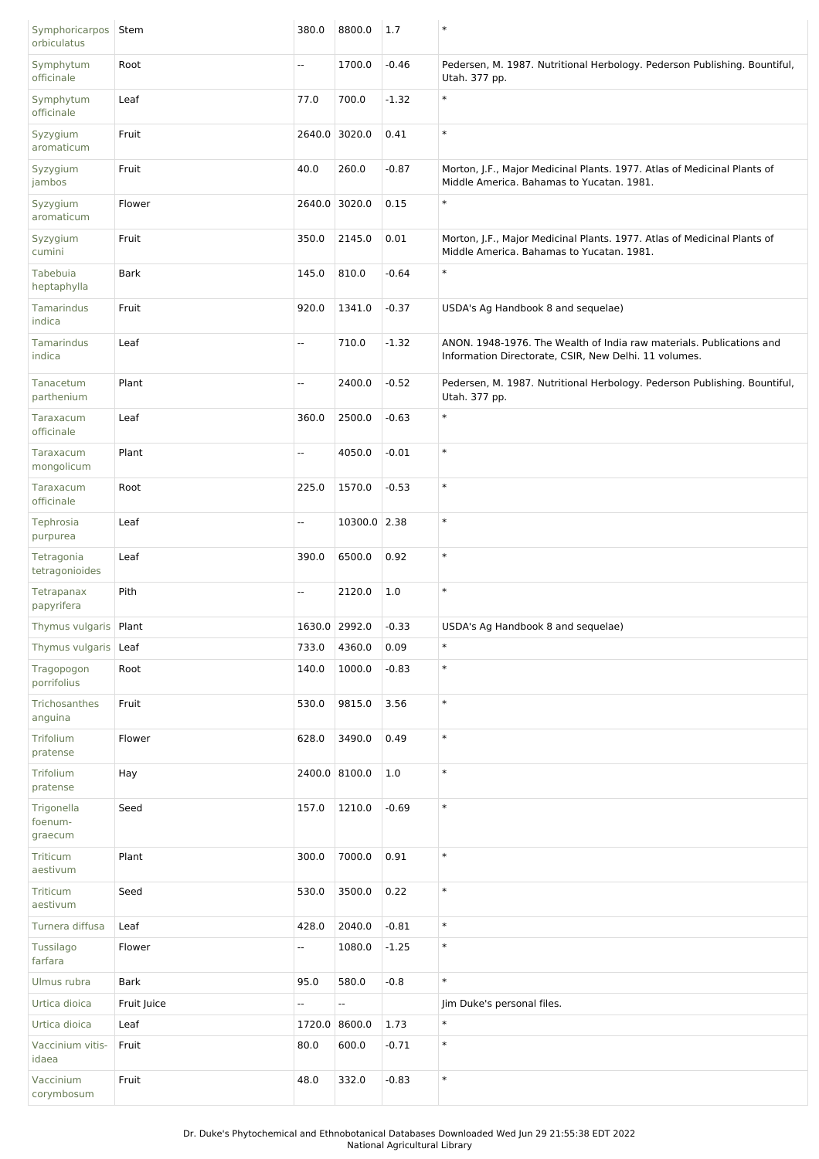| Symphoricarpos<br>orbiculatus    | Stem        | 380.0  | 8800.0        | 1.7     | $\ast$                                                                                                                        |
|----------------------------------|-------------|--------|---------------|---------|-------------------------------------------------------------------------------------------------------------------------------|
| Symphytum<br>officinale          | Root        | Щ,     | 1700.0        | $-0.46$ | Pedersen, M. 1987. Nutritional Herbology. Pederson Publishing. Bountiful,<br>Utah. 377 pp.                                    |
| Symphytum<br>officinale          | Leaf        | 77.0   | 700.0         | $-1.32$ | $\ast$                                                                                                                        |
| Syzygium<br>aromaticum           | Fruit       |        | 2640.0 3020.0 | 0.41    | $\ast$                                                                                                                        |
| Syzygium<br>jambos               | Fruit       | 40.0   | 260.0         | $-0.87$ | Morton, J.F., Major Medicinal Plants. 1977. Atlas of Medicinal Plants of<br>Middle America. Bahamas to Yucatan. 1981.         |
| Syzygium<br>aromaticum           | Flower      |        | 2640.0 3020.0 | 0.15    | $\ast$                                                                                                                        |
| Syzygium<br>cumini               | Fruit       | 350.0  | 2145.0        | 0.01    | Morton, J.F., Major Medicinal Plants. 1977. Atlas of Medicinal Plants of<br>Middle America. Bahamas to Yucatan. 1981.         |
| Tabebuia<br>heptaphylla          | <b>Bark</b> | 145.0  | 810.0         | $-0.64$ | $\ast$                                                                                                                        |
| Tamarindus<br>indica             | Fruit       | 920.0  | 1341.0        | $-0.37$ | USDA's Ag Handbook 8 and sequelae)                                                                                            |
| Tamarindus<br>indica             | Leaf        | Щ,     | 710.0         | $-1.32$ | ANON. 1948-1976. The Wealth of India raw materials. Publications and<br>Information Directorate, CSIR, New Delhi. 11 volumes. |
| Tanacetum<br>parthenium          | Plant       | Ξ.     | 2400.0        | $-0.52$ | Pedersen, M. 1987. Nutritional Herbology. Pederson Publishing. Bountiful,<br>Utah. 377 pp.                                    |
| Taraxacum<br>officinale          | Leaf        | 360.0  | 2500.0        | $-0.63$ | $\ast$                                                                                                                        |
| Taraxacum<br>mongolicum          | Plant       | Ξ.     | 4050.0        | $-0.01$ | $\ast$                                                                                                                        |
| Taraxacum<br>officinale          | Root        | 225.0  | 1570.0        | $-0.53$ | $\ast$                                                                                                                        |
| Tephrosia<br>purpurea            | Leaf        | Ξ.     | 10300.0 2.38  |         | $\ast$                                                                                                                        |
| Tetragonia<br>tetragonioides     | Leaf        | 390.0  | 6500.0        | 0.92    | $\ast$                                                                                                                        |
| Tetrapanax<br>papyrifera         | Pith        | Ξ.     | 2120.0        | 1.0     | $\ast$                                                                                                                        |
| Thymus vulgaris   Plant          |             |        | 1630.0 2992.0 | $-0.33$ | USDA's Ag Handbook 8 and sequelae)                                                                                            |
| Thymus vulgaris                  | Leaf        | 733.0  | 4360.0        | 0.09    | $\ast$                                                                                                                        |
| Tragopogon<br>porrifolius        | Root        | 140.0  | 1000.0        | $-0.83$ | $\ast$                                                                                                                        |
| Trichosanthes<br>anguina         | Fruit       | 530.0  | 9815.0        | 3.56    | $\ast$                                                                                                                        |
| Trifolium<br>pratense            | Flower      | 628.0  | 3490.0        | 0.49    | $\ast$                                                                                                                        |
| Trifolium<br>pratense            | Hay         |        | 2400.0 8100.0 | 1.0     | $\ast$                                                                                                                        |
| Trigonella<br>foenum-<br>graecum | Seed        | 157.0  | 1210.0        | $-0.69$ | $\ast$                                                                                                                        |
| Triticum<br>aestivum             | Plant       | 300.0  | 7000.0        | 0.91    | $\ast$                                                                                                                        |
| Triticum<br>aestivum             | Seed        | 530.0  | 3500.0        | 0.22    | $\ast$                                                                                                                        |
| Turnera diffusa                  | Leaf        | 428.0  | 2040.0        | $-0.81$ | $\ast$                                                                                                                        |
| Tussilago<br>farfara             | Flower      | Ξ.     | 1080.0        | $-1.25$ | $\ast$                                                                                                                        |
| Ulmus rubra                      | Bark        | 95.0   | 580.0         | $-0.8$  | $\ast$                                                                                                                        |
| Urtica dioica                    | Fruit Juice | 4      | --            |         | Jim Duke's personal files.                                                                                                    |
| Urtica dioica                    | Leaf        | 1720.0 | 8600.0        | 1.73    | $\ast$                                                                                                                        |
| Vaccinium vitis-<br>idaea        | Fruit       | 80.0   | 600.0         | $-0.71$ | $\ast$                                                                                                                        |
| Vaccinium<br>corymbosum          | Fruit       | 48.0   | 332.0         | $-0.83$ | $\ast$                                                                                                                        |